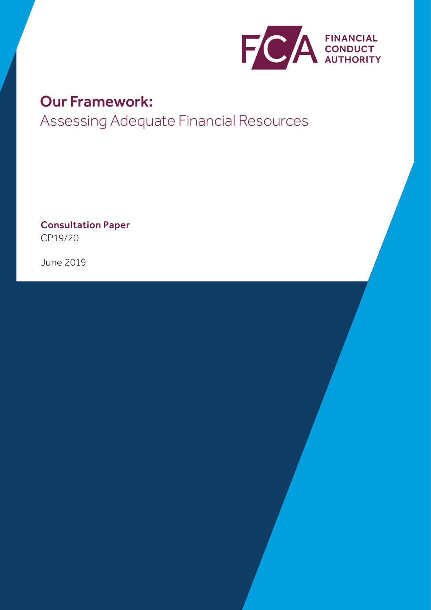

# Our Framework:

Assessing Adequate Financial Resources

Consultation Paper CP19/20

June 2019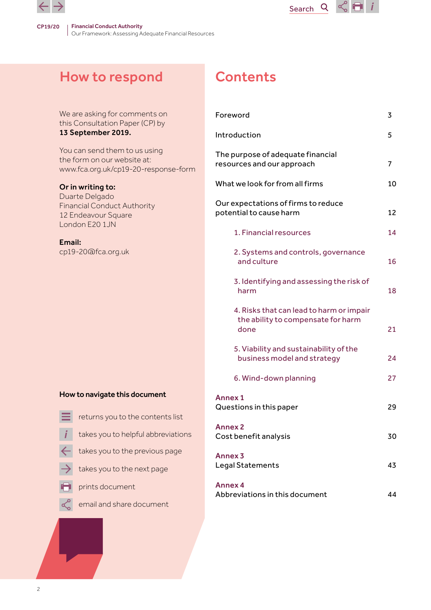

# How to respond

We are asking for comments on this Consultation Paper (CP) by 13 September 2019.

You can send them to us using the form on our website at: www.fca.org.uk/cp19-20-response-form

#### Or in writing to:

Duarte Delgado Financial Conduct Authority 12 Endeavour Square London E20 1JN

#### Email:

cp19-20@fca.org.uk

# **Contents**

| Foreword                                                                               | 3  |
|----------------------------------------------------------------------------------------|----|
| Introduction                                                                           | 5  |
| The purpose of adequate financial<br>resources and our approach                        | 7  |
| What we look for from all firms                                                        | 10 |
| Our expectations of firms to reduce<br>potential to cause harm                         | 12 |
| 1. Financial resources                                                                 | 14 |
| 2. Systems and controls, governance<br>and culture                                     | 16 |
| 3. Identifying and assessing the risk of<br>harm                                       | 18 |
| 4. Risks that can lead to harm or impair<br>the ability to compensate for harm<br>done | 21 |
| 5. Viability and sustainability of the<br>business model and strategy                  | 24 |
| 6. Wind-down planning                                                                  | 27 |
| <b>Annex 1</b><br>Questions in this paper                                              | 29 |
| <b>Annex 2</b><br>Cost benefit analysis                                                | 30 |
| Annex <sub>3</sub><br>Legal Statements                                                 | 43 |
| <b>Annex 4</b><br>Abbreviations in this document                                       | 44 |

Search<sup>Q</sup>

 $\propto$   $\blacksquare$ 

- 
- returns you to the contents list<br>takes you to helpful abbreviations
- 
- takes you to the previous page
- takes you to the next page
- prints document
- 
- email and share document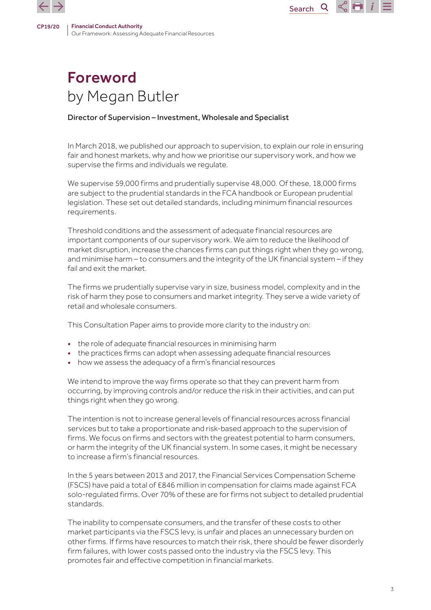

#### Director of Supervision – Investment, Wholesale and Specialist

In March 2018, we published our approach to supervision, to explain our role in ensuring fair and honest markets, why and how we prioritise our supervisory work, and how we supervise the firms and individuals we regulate.

Search<sub>Q</sub>

 $\leq$   $\blacksquare$  i

We supervise 59,000 firms and prudentially supervise 48,000. Of these, 18,000 firms are subject to the prudential standards in the FCA handbook or European prudential legislation. These set out detailed standards, including minimum financial resources requirements.

Threshold conditions and the assessment of adequate financial resources are important components of our supervisory work. We aim to reduce the likelihood of market disruption, increase the chances firms can put things right when they go wrong, and minimise harm – to consumers and the integrity of the UK financial system – if they fail and exit the market.

The firms we prudentially supervise vary in size, business model, complexity and in the risk of harm they pose to consumers and market integrity. They serve a wide variety of retail and wholesale consumers.

This Consultation Paper aims to provide more clarity to the industry on:

- the role of adequate financial resources in minimising harm
- the practices firms can adopt when assessing adequate financial resources
- how we assess the adequacy of a firm's financial resources

We intend to improve the way firms operate so that they can prevent harm from occurring, by improving controls and/or reduce the risk in their activities, and can put things right when they go wrong.

The intention is not to increase general levels of financial resources across financial services but to take a proportionate and risk-based approach to the supervision of firms. We focus on firms and sectors with the greatest potential to harm consumers, or harm the integrity of the UK financial system. In some cases, it might be necessary to increase a firm's financial resources.

In the 5 years between 2013 and 2017, the Financial Services Compensation Scheme (FSCS) have paid a total of £846 million in compensation for claims made against FCA solo-regulated firms. Over 70% of these are for firms not subject to detailed prudential standards.

The inability to compensate consumers, and the transfer of these costs to other market participants via the FSCS levy, is unfair and places an unnecessary burden on other firms. If firms have resources to match their risk, there should be fewer disorderly firm failures, with lower costs passed onto the industry via the FSCS levy. This promotes fair and effective competition in financial markets.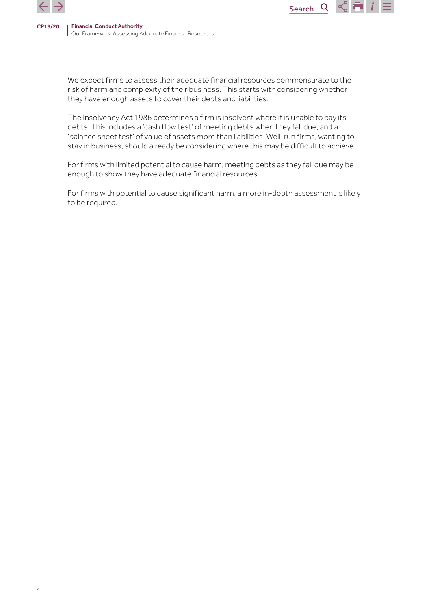

We expect firms to assess their adequate financial resources commensurate to the risk of harm and complexity of their business. This starts with considering whether they have enough assets to cover their debts and liabilities.

Search<sub>Q</sub>

 $\leq$   $\blacksquare$  i

The Insolvency Act 1986 determines a firm is insolvent where it is unable to pay its debts. This includes a 'cash flow test' of meeting debts when they fall due, and a 'balance sheet test' of value of assets more than liabilities. Well-run firms, wanting to stay in business, should already be considering where this may be difficult to achieve.

For firms with limited potential to cause harm, meeting debts as they fall due may be enough to show they have adequate financial resources.

For firms with potential to cause significant harm, a more in-depth assessment is likely to be required.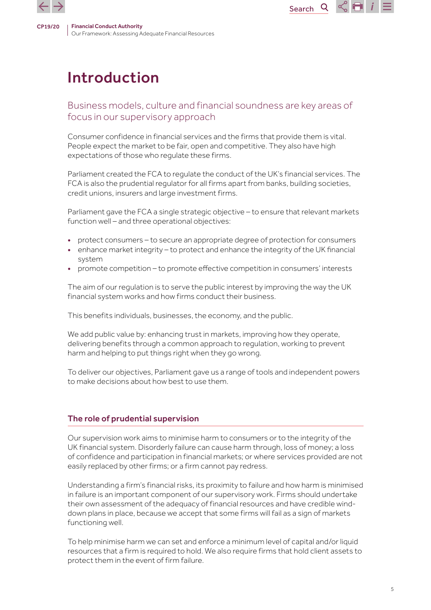

# Introduction

# Business models, culture and financial soundness are key areas of focus in our supervisory approach

**Search** 

 $\overline{Q}$ 

 $\propto$  FI

Consumer confidence in financial services and the firms that provide them is vital. People expect the market to be fair, open and competitive. They also have high expectations of those who regulate these firms.

Parliament created the FCA to regulate the conduct of the UK's financial services. The FCA is also the prudential regulator for all firms apart from banks, building societies, credit unions, insurers and large investment firms.

Parliament gave the FCA a single strategic objective – to ensure that relevant markets function well – and three operational objectives:

- protect consumers to secure an appropriate degree of protection for consumers
- enhance market integrity to protect and enhance the integrity of the UK financial system
- promote competition to promote effective competition in consumers' interests

The aim of our regulation is to serve the public interest by improving the way the UK financial system works and how firms conduct their business.

This benefits individuals, businesses, the economy, and the public.

We add public value by: enhancing trust in markets, improving how they operate, delivering benefits through a common approach to regulation, working to prevent harm and helping to put things right when they go wrong.

To deliver our objectives, Parliament gave us a range of tools and independent powers to make decisions about how best to use them.

# The role of prudential supervision

Our supervision work aims to minimise harm to consumers or to the integrity of the UK financial system. Disorderly failure can cause harm through, loss of money; a loss of confidence and participation in financial markets; or where services provided are not easily replaced by other firms; or a firm cannot pay redress.

Understanding a firm's financial risks, its proximity to failure and how harm is minimised in failure is an important component of our supervisory work. Firms should undertake their own assessment of the adequacy of financial resources and have credible winddown plans in place, because we accept that some firms will fail as a sign of markets functioning well.

To help minimise harm we can set and enforce a minimum level of capital and/or liquid resources that a firm is required to hold. We also require firms that hold client assets to protect them in the event of firm failure.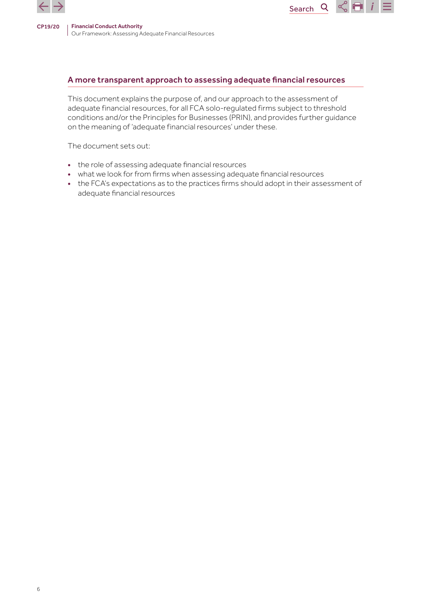

#### A more transparent approach to assessing adequate financial resources

Search<sub>Q</sub>

 $\mathcal{L}$   $\blacksquare$  i

This document explains the purpose of, and our approach to the assessment of adequate financial resources, for all FCA solo-regulated firms subject to threshold conditions and/or the Principles for Businesses (PRIN), and provides further guidance on the meaning of 'adequate financial resources' under these.

The document sets out:

- the role of assessing adequate financial resources
- what we look for from firms when assessing adequate financial resources
- the FCA's expectations as to the practices firms should adopt in their assessment of adequate financial resources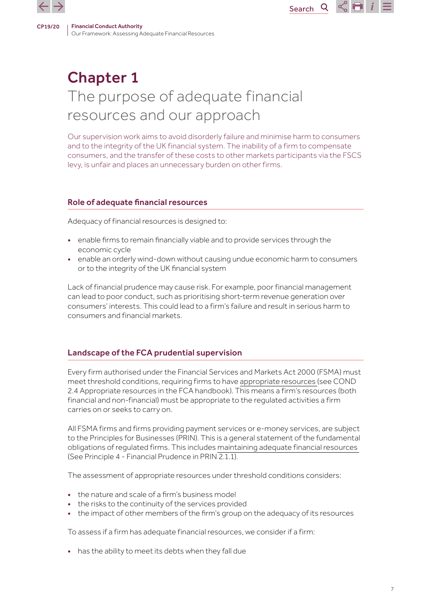

# Chapter 1 The purpose of adequate financial resources and our approach

Our supervision work aims to avoid disorderly failure and minimise harm to consumers and to the integrity of the UK financial system. The inability of a firm to compensate consumers, and the transfer of these costs to other markets participants via the FSCS levy, is unfair and places an unnecessary burden on other firms.

Search<sub>Q</sub>

 $\propto$  Fi

## Role of adequate financial resources

Adequacy of financial resources is designed to:

- enable firms to remain financially viable and to provide services through the economic cycle
- enable an orderly wind-down without causing undue economic harm to consumers or to the integrity of the UK financial system

Lack of financial prudence may cause risk. For example, poor financial management can lead to poor conduct, such as prioritising short-term revenue generation over consumers' interests. This could lead to a firm's failure and result in serious harm to consumers and financial markets.

# Landscape of the FCA prudential supervision

Every firm authorised under the Financial Services and Markets Act 2000 (FSMA) must meet threshold conditions, requiring firms to have [appropriate resources](https://www.handbook.fca.org.uk/handbook/COND/2/4.html) (see COND 2.4 Appropriate resources in the FCA handbook). This means a firm's resources (both financial and non-financial) must be appropriate to the regulated activities a firm carries on or seeks to carry on.

All FSMA firms and firms providing payment services or e-money services, are subject to the Principles for Businesses (PRIN). This is a general statement of the fundamental obligations of regulated firms. This includes [maintaining adequate financial resources](https://www.handbook.fca.org.uk/handbook/PRIN/2/1.html) (See Principle 4 - Financial Prudence in PRIN 2.1.1).

The assessment of appropriate resources under threshold conditions considers:

- the nature and scale of a firm's business model
- the risks to the continuity of the services provided
- the impact of other members of the firm's group on the adequacy of its resources

To assess if a firm has adequate financial resources, we consider if a firm:

• has the ability to meet its debts when they fall due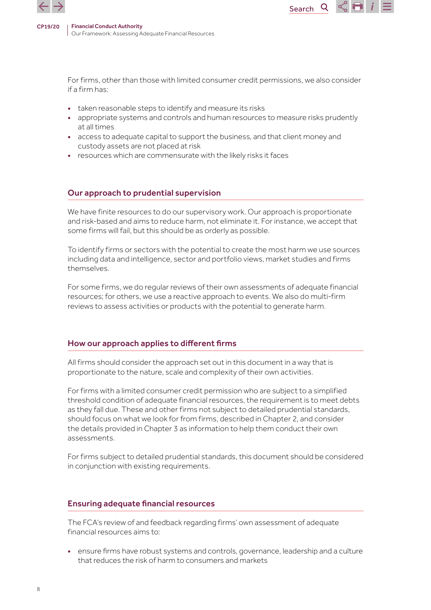

For firms, other than those with limited consumer credit permissions, we also consider if a firm has:

Search

**Q** 

 $\propto$  H

- taken reasonable steps to identify and measure its risks
- appropriate systems and controls and human resources to measure risks prudently at all times
- access to adequate capital to support the business, and that client money and custody assets are not placed at risk
- resources which are commensurate with the likely risks it faces

#### Our approach to prudential supervision

We have finite resources to do our supervisory work. Our approach is proportionate and risk-based and aims to reduce harm, not eliminate it. For instance, we accept that some firms will fail, but this should be as orderly as possible.

To identify firms or sectors with the potential to create the most harm we use sources including data and intelligence, sector and portfolio views, market studies and firms themselves.

For some firms, we do regular reviews of their own assessments of adequate financial resources; for others, we use a reactive approach to events. We also do multi-firm reviews to assess activities or products with the potential to generate harm.

#### How our approach applies to different firms

All firms should consider the approach set out in this document in a way that is proportionate to the nature, scale and complexity of their own activities.

For firms with a limited consumer credit permission who are subject to a simplified threshold condition of adequate financial resources, the requirement is to meet debts as they fall due. These and other firms not subject to detailed prudential standards, should focus on what we look for from firms, described in Chapter 2, and consider the details provided in Chapter 3 as information to help them conduct their own assessments.

For firms subject to detailed prudential standards, this document should be considered in conjunction with existing requirements.

#### Ensuring adequate financial resources

The FCA's review of and feedback regarding firms' own assessment of adequate financial resources aims to:

• ensure firms have robust systems and controls, governance, leadership and a culture that reduces the risk of harm to consumers and markets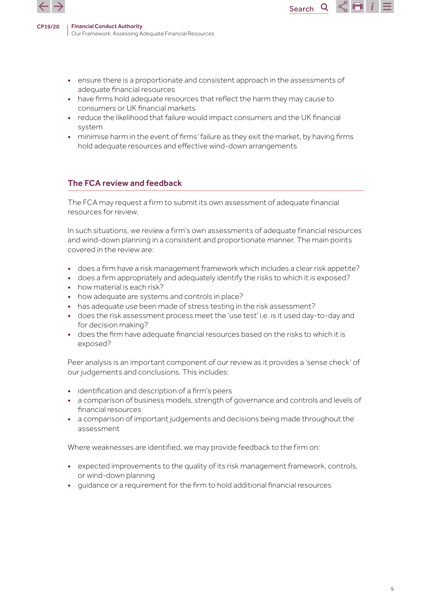

• ensure there is a proportionate and consistent approach in the assessments of adequate financial resources

Search

Q

- have firms hold adequate resources that reflect the harm they may cause to consumers or UK financial markets
- reduce the likelihood that failure would impact consumers and the UK financial system
- minimise harm in the event of firms' failure as they exit the market, by having firms hold adequate resources and effective wind-down arrangements

# The FCA review and feedback

The FCA may request a firm to submit its own assessment of adequate financial resources for review.

In such situations, we review a firm's own assessments of adequate financial resources and wind-down planning in a consistent and proportionate manner. The main points covered in the review are:

- does a firm have a risk management framework which includes a clear risk appetite?
- does a firm appropriately and adequately identify the risks to which it is exposed?
- how material is each risk?
- how adequate are systems and controls in place?
- has adequate use been made of stress testing in the risk assessment?
- does the risk assessment process meet the 'use test' i.e. is it used day-to-day and for decision making?
- does the firm have adequate financial resources based on the risks to which it is exposed?

Peer analysis is an important component of our review as it provides a 'sense check' of our judgements and conclusions. This includes:

- identification and description of a firm's peers
- a comparison of business models, strength of governance and controls and levels of financial resources
- a comparison of important judgements and decisions being made throughout the assessment

Where weaknesses are identified, we may provide feedback to the firm on:

- expected improvements to the quality of its risk management framework, controls, or wind-down planning
- guidance or a requirement for the firm to hold additional financial resources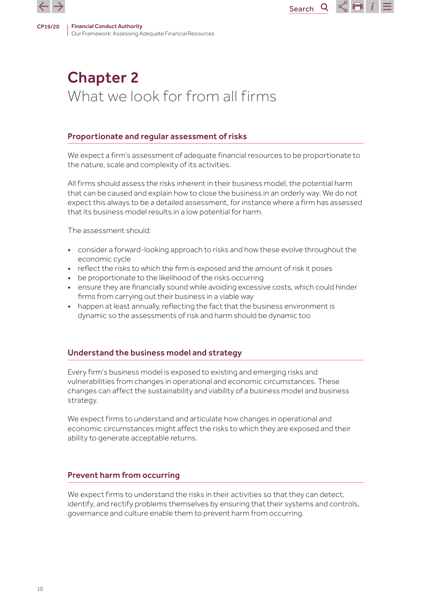# Chapter 2 What we look for from all firms

## Proportionate and regular assessment of risks

We expect a firm's assessment of adequate financial resources to be proportionate to the nature, scale and complexity of its activities.

All firms should assess the risks inherent in their business model, the potential harm that can be caused and explain how to close the business in an orderly way. We do not expect this always to be a detailed assessment, for instance where a firm has assessed that its business model results in a low potential for harm.

The assessment should:

- consider a forward-looking approach to risks and how these evolve throughout the economic cycle
- reflect the risks to which the firm is exposed and the amount of risk it poses
- be proportionate to the likelihood of the risks occurring
- ensure they are financially sound while avoiding excessive costs, which could hinder firms from carrying out their business in a viable way
- happen at least annually, reflecting the fact that the business environment is dynamic so the assessments of risk and harm should be dynamic too

# Understand the business model and strategy

Every firm's business model is exposed to existing and emerging risks and vulnerabilities from changes in operational and economic circumstances. These changes can affect the sustainability and viability of a business model and business strategy.

We expect firms to understand and articulate how changes in operational and economic circumstances might affect the risks to which they are exposed and their ability to generate acceptable returns.

#### Prevent harm from occurring

We expect firms to understand the risks in their activities so that they can detect, identify, and rectify problems themselves by ensuring that their systems and controls, governance and culture enable them to prevent harm from occurring.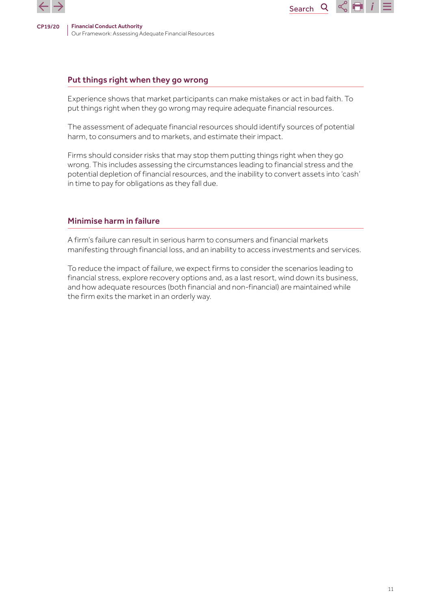

## Put things right when they go wrong

Experience shows that market participants can make mistakes or act in bad faith. To put things right when they go wrong may require adequate financial resources.

Search

 $\mathsf{Q}$ 

 $\propto$  H

The assessment of adequate financial resources should identify sources of potential harm, to consumers and to markets, and estimate their impact.

Firms should consider risks that may stop them putting things right when they go wrong. This includes assessing the circumstances leading to financial stress and the potential depletion of financial resources, and the inability to convert assets into 'cash' in time to pay for obligations as they fall due.

#### Minimise harm in failure

A firm's failure can result in serious harm to consumers and financial markets manifesting through financial loss, and an inability to access investments and services.

To reduce the impact of failure, we expect firms to consider the scenarios leading to financial stress, explore recovery options and, as a last resort, wind down its business, and how adequate resources (both financial and non-financial) are maintained while the firm exits the market in an orderly way.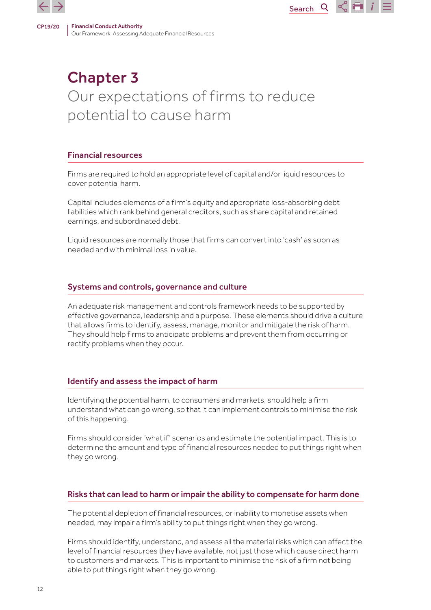# Chapter 3 Our expectations of firms to reduce potential to cause harm

# Financial resources

Firms are required to hold an appropriate level of capital and/or liquid resources to cover potential harm.

Capital includes elements of a firm's equity and appropriate loss-absorbing debt liabilities which rank behind general creditors, such as share capital and retained earnings, and subordinated debt.

Liquid resources are normally those that firms can convert into 'cash' as soon as needed and with minimal loss in value.

## Systems and controls, governance and culture

An adequate risk management and controls framework needs to be supported by effective governance, leadership and a purpose. These elements should drive a culture that allows firms to identify, assess, manage, monitor and mitigate the risk of harm. They should help firms to anticipate problems and prevent them from occurring or rectify problems when they occur.

#### Identify and assess the impact of harm

Identifying the potential harm, to consumers and markets, should help a firm understand what can go wrong, so that it can implement controls to minimise the risk of this happening.

Firms should consider 'what if' scenarios and estimate the potential impact. This is to determine the amount and type of financial resources needed to put things right when they go wrong.

# Risks that can lead to harm or impair the ability to compensate for harm done

The potential depletion of financial resources, or inability to monetise assets when needed, may impair a firm's ability to put things right when they go wrong.

Firms should identify, understand, and assess all the material risks which can affect the level of financial resources they have available, not just those which cause direct harm to customers and markets. This is important to minimise the risk of a firm not being able to put things right when they go wrong.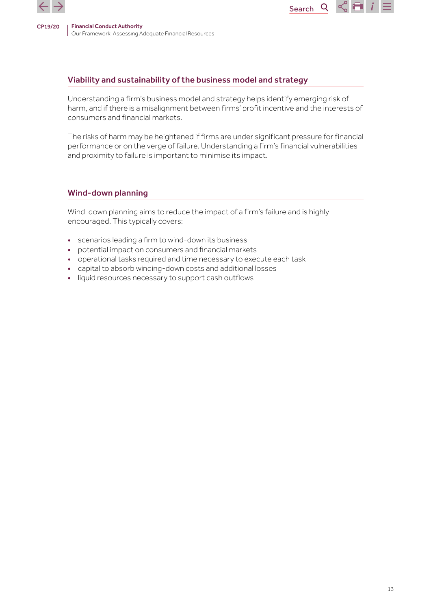

## Viability and sustainability of the business model and strategy

Understanding a firm's business model and strategy helps identify emerging risk of harm, and if there is a misalignment between firms' profit incentive and the interests of consumers and financial markets.

Search

Q

 $\leq$   $\blacksquare$  i

The risks of harm may be heightened if firms are under significant pressure for financial performance or on the verge of failure. Understanding a firm's financial vulnerabilities and proximity to failure is important to minimise its impact.

#### Wind-down planning

Wind-down planning aims to reduce the impact of a firm's failure and is highly encouraged. This typically covers:

- scenarios leading a firm to wind-down its business
- potential impact on consumers and financial markets
- operational tasks required and time necessary to execute each task
- capital to absorb winding-down costs and additional losses
- liquid resources necessary to support cash outflows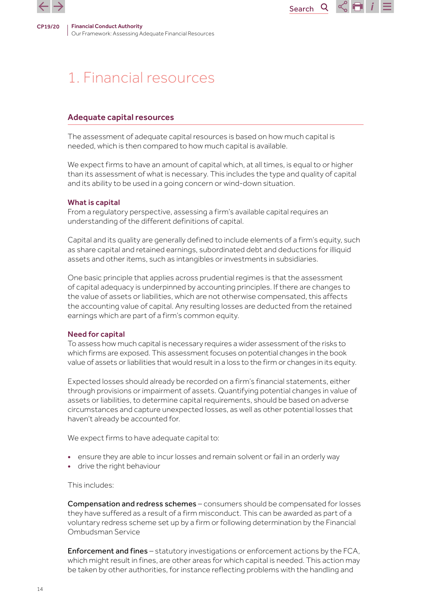

# 1. Financial resources

#### Adequate capital resources

The assessment of adequate capital resources is based on how much capital is needed, which is then compared to how much capital is available.

We expect firms to have an amount of capital which, at all times, is equal to or higher than its assessment of what is necessary. This includes the type and quality of capital and its ability to be used in a going concern or wind-down situation.

Search

 $Q$ 

 $\propto$  Fi i

#### What is capital

From a regulatory perspective, assessing a firm's available capital requires an understanding of the different definitions of capital.

Capital and its quality are generally defined to include elements of a firm's equity, such as share capital and retained earnings, subordinated debt and deductions for illiquid assets and other items, such as intangibles or investments in subsidiaries.

One basic principle that applies across prudential regimes is that the assessment of capital adequacy is underpinned by accounting principles. If there are changes to the value of assets or liabilities, which are not otherwise compensated, this affects the accounting value of capital. Any resulting losses are deducted from the retained earnings which are part of a firm's common equity.

#### Need for capital

To assess how much capital is necessary requires a wider assessment of the risks to which firms are exposed. This assessment focuses on potential changes in the book value of assets or liabilities that would result in a loss to the firm or changes in its equity.

Expected losses should already be recorded on a firm's financial statements, either through provisions or impairment of assets. Quantifying potential changes in value of assets or liabilities, to determine capital requirements, should be based on adverse circumstances and capture unexpected losses, as well as other potential losses that haven't already be accounted for.

We expect firms to have adequate capital to:

- ensure they are able to incur losses and remain solvent or fail in an orderly way
- drive the right behaviour

This includes:

Compensation and redress schemes – consumers should be compensated for losses they have suffered as a result of a firm misconduct. This can be awarded as part of a voluntary redress scheme set up by a firm or following determination by the Financial Ombudsman Service

Enforcement and fines – statutory investigations or enforcement actions by the FCA, which might result in fines, are other areas for which capital is needed. This action may be taken by other authorities, for instance reflecting problems with the handling and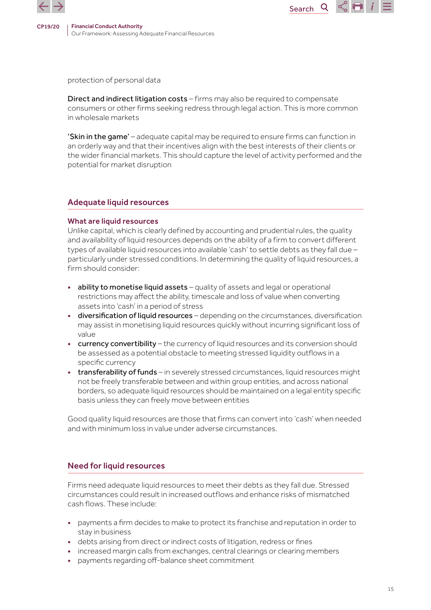

protection of personal data

Direct and indirect litigation costs – firms may also be required to compensate consumers or other firms seeking redress through legal action. This is more common in wholesale markets

Search

Q

Œ

'Skin in the game' – adequate capital may be required to ensure firms can function in an orderly way and that their incentives align with the best interests of their clients or the wider financial markets. This should capture the level of activity performed and the potential for market disruption

## Adequate liquid resources

#### What are liquid resources

Unlike capital, which is clearly defined by accounting and prudential rules, the quality and availability of liquid resources depends on the ability of a firm to convert different types of available liquid resources into available 'cash' to settle debts as they fall due – particularly under stressed conditions. In determining the quality of liquid resources, a firm should consider:

- ability to monetise liquid assets quality of assets and legal or operational restrictions may affect the ability, timescale and loss of value when converting assets into 'cash' in a period of stress
- diversification of liquid resources depending on the circumstances, diversification may assist in monetising liquid resources quickly without incurring significant loss of value
- currency convertibility the currency of liquid resources and its conversion should be assessed as a potential obstacle to meeting stressed liquidity outflows in a specific currency
- transferability of funds in severely stressed circumstances, liquid resources might not be freely transferable between and within group entities, and across national borders, so adequate liquid resources should be maintained on a legal entity specific basis unless they can freely move between entities

Good quality liquid resources are those that firms can convert into 'cash' when needed and with minimum loss in value under adverse circumstances.

#### Need for liquid resources

Firms need adequate liquid resources to meet their debts as they fall due. Stressed circumstances could result in increased outflows and enhance risks of mismatched cash flows. These include:

- payments a firm decides to make to protect its franchise and reputation in order to stay in business
- debts arising from direct or indirect costs of litigation, redress or fines
- increased margin calls from exchanges, central clearings or clearing members
- payments regarding off-balance sheet commitment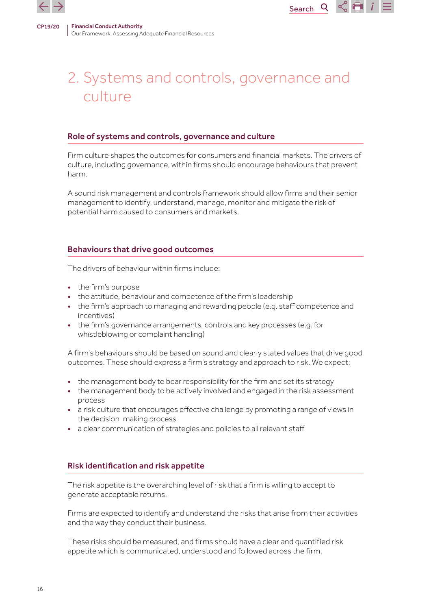



Search<sub>Q</sub>

 $\propto$  H

#### Role of systems and controls, governance and culture

Firm culture shapes the outcomes for consumers and financial markets. The drivers of culture, including governance, within firms should encourage behaviours that prevent harm.

A sound risk management and controls framework should allow firms and their senior management to identify, understand, manage, monitor and mitigate the risk of potential harm caused to consumers and markets.

#### Behaviours that drive good outcomes

The drivers of behaviour within firms include:

- the firm's purpose
- the attitude, behaviour and competence of the firm's leadership
- the firm's approach to managing and rewarding people (e.g. staff competence and incentives)
- the firm's governance arrangements, controls and key processes (e.g. for whistleblowing or complaint handling)

A firm's behaviours should be based on sound and clearly stated values that drive good outcomes. These should express a firm's strategy and approach to risk. We expect:

- the management body to bear responsibility for the firm and set its strategy
- the management body to be actively involved and engaged in the risk assessment process
- a risk culture that encourages effective challenge by promoting a range of views in the decision-making process
- a clear communication of strategies and policies to all relevant staff

#### Risk identification and risk appetite

The risk appetite is the overarching level of risk that a firm is willing to accept to generate acceptable returns.

Firms are expected to identify and understand the risks that arise from their activities and the way they conduct their business.

These risks should be measured, and firms should have a clear and quantified risk appetite which is communicated, understood and followed across the firm.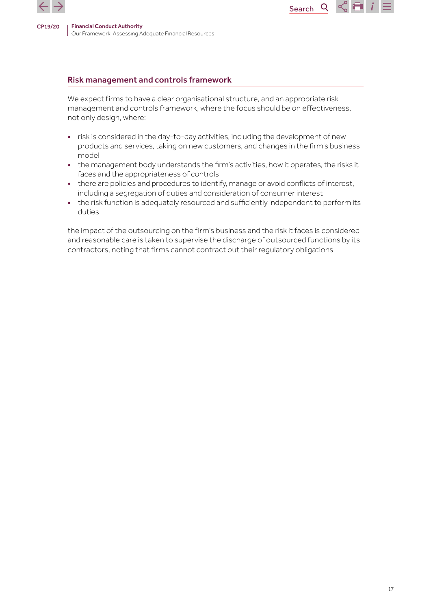

### Risk management and controls framework

We expect firms to have a clear organisational structure, and an appropriate risk management and controls framework, where the focus should be on effectiveness, not only design, where:

Search

Q

 $\propto$  H

- risk is considered in the day-to-day activities, including the development of new products and services, taking on new customers, and changes in the firm's business model
- the management body understands the firm's activities, how it operates, the risks it faces and the appropriateness of controls
- there are policies and procedures to identify, manage or avoid conflicts of interest, including a segregation of duties and consideration of consumer interest
- the risk function is adequately resourced and sufficiently independent to perform its duties

the impact of the outsourcing on the firm's business and the risk it faces is considered and reasonable care is taken to supervise the discharge of outsourced functions by its contractors, noting that firms cannot contract out their regulatory obligations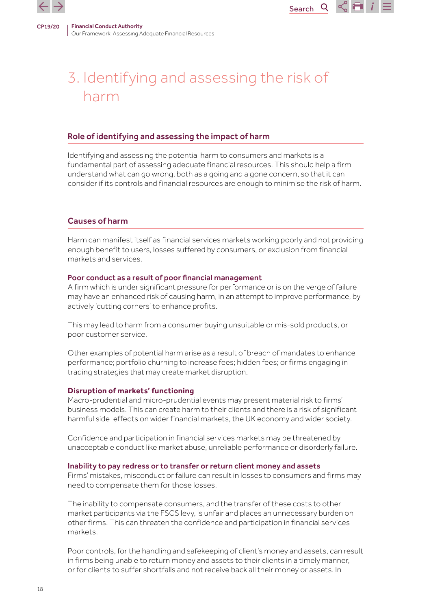

# 3. Identifying and assessing the risk of harm

Search<sub>Q</sub>

 $\propto$  Fi i

#### Role of identifying and assessing the impact of harm

Identifying and assessing the potential harm to consumers and markets is a fundamental part of assessing adequate financial resources. This should help a firm understand what can go wrong, both as a going and a gone concern, so that it can consider if its controls and financial resources are enough to minimise the risk of harm.

#### Causes of harm

Harm can manifest itself as financial services markets working poorly and not providing enough benefit to users, losses suffered by consumers, or exclusion from financial markets and services.

#### Poor conduct as a result of poor financial management

A firm which is under significant pressure for performance or is on the verge of failure may have an enhanced risk of causing harm, in an attempt to improve performance, by actively 'cutting corners' to enhance profits.

This may lead to harm from a consumer buying unsuitable or mis-sold products, or poor customer service.

Other examples of potential harm arise as a result of breach of mandates to enhance performance; portfolio churning to increase fees; hidden fees; or firms engaging in trading strategies that may create market disruption.

#### **Disruption of markets' functioning**

Macro-prudential and micro-prudential events may present material risk to firms' business models. This can create harm to their clients and there is a risk of significant harmful side-effects on wider financial markets, the UK economy and wider society.

Confidence and participation in financial services markets may be threatened by unacceptable conduct like market abuse, unreliable performance or disorderly failure.

#### Inability to pay redress or to transfer or return client money and assets

Firms' mistakes, misconduct or failure can result in losses to consumers and firms may need to compensate them for those losses.

The inability to compensate consumers, and the transfer of these costs to other market participants via the FSCS levy, is unfair and places an unnecessary burden on other firms. This can threaten the confidence and participation in financial services markets.

Poor controls, for the handling and safekeeping of client's money and assets, can result in firms being unable to return money and assets to their clients in a timely manner, or for clients to suffer shortfalls and not receive back all their money or assets. In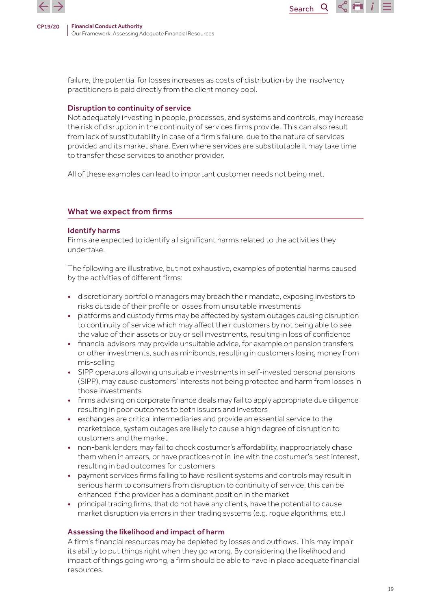

failure, the potential for losses increases as costs of distribution by the insolvency practitioners is paid directly from the client money pool.

Search

Q

#### Disruption to continuity of service

Not adequately investing in people, processes, and systems and controls, may increase the risk of disruption in the continuity of services firms provide. This can also result from lack of substitutability in case of a firm's failure, due to the nature of services provided and its market share. Even where services are substitutable it may take time to transfer these services to another provider.

All of these examples can lead to important customer needs not being met.

## What we expect from firms

#### Identify harms

Firms are expected to identify all significant harms related to the activities they undertake.

The following are illustrative, but not exhaustive, examples of potential harms caused by the activities of different firms:

- discretionary portfolio managers may breach their mandate, exposing investors to risks outside of their profile or losses from unsuitable investments
- platforms and custody firms may be affected by system outages causing disruption to continuity of service which may affect their customers by not being able to see the value of their assets or buy or sell investments, resulting in loss of confidence
- financial advisors may provide unsuitable advice, for example on pension transfers or other investments, such as minibonds, resulting in customers losing money from mis-selling
- SIPP operators allowing unsuitable investments in self-invested personal pensions (SIPP), may cause customers' interests not being protected and harm from losses in those investments
- firms advising on corporate finance deals may fail to apply appropriate due diligence resulting in poor outcomes to both issuers and investors
- exchanges are critical intermediaries and provide an essential service to the marketplace, system outages are likely to cause a high degree of disruption to customers and the market
- non-bank lenders may fail to check costumer's affordability, inappropriately chase them when in arrears, or have practices not in line with the costumer's best interest, resulting in bad outcomes for customers
- payment services firms failing to have resilient systems and controls may result in serious harm to consumers from disruption to continuity of service, this can be enhanced if the provider has a dominant position in the market
- principal trading firms, that do not have any clients, have the potential to cause market disruption via errors in their trading systems (e.g. rogue algorithms, etc.)

#### Assessing the likelihood and impact of harm

A firm's financial resources may be depleted by losses and outflows. This may impair its ability to put things right when they go wrong. By considering the likelihood and impact of things going wrong, a firm should be able to have in place adequate financial resources.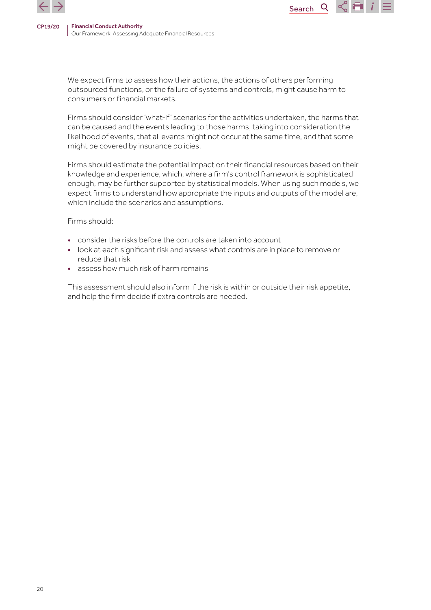

We expect firms to assess how their actions, the actions of others performing outsourced functions, or the failure of systems and controls, might cause harm to consumers or financial markets.

Search

Q

H.

Firms should consider 'what-if' scenarios for the activities undertaken, the harms that can be caused and the events leading to those harms, taking into consideration the likelihood of events, that all events might not occur at the same time, and that some might be covered by insurance policies.

Firms should estimate the potential impact on their financial resources based on their knowledge and experience, which, where a firm's control framework is sophisticated enough, may be further supported by statistical models. When using such models, we expect firms to understand how appropriate the inputs and outputs of the model are, which include the scenarios and assumptions.

Firms should:

- consider the risks before the controls are taken into account
- look at each significant risk and assess what controls are in place to remove or reduce that risk
- assess how much risk of harm remains

This assessment should also inform if the risk is within or outside their risk appetite, and help the firm decide if extra controls are needed.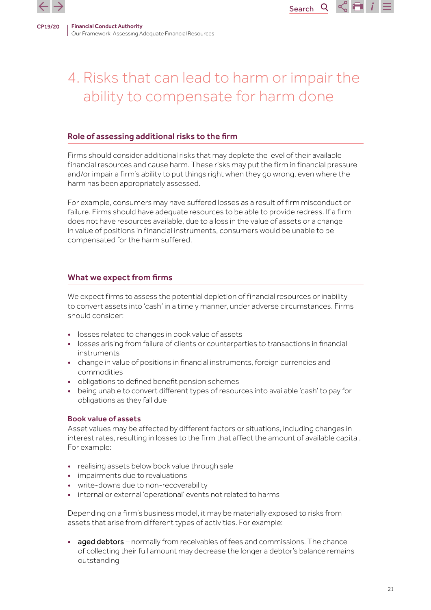

# 4. Risks that can lead to harm or impair the ability to compensate for harm done

Search<sub>Q</sub>

 $\propto$  Fi i

#### Role of assessing additional risks to the firm

Firms should consider additional risks that may deplete the level of their available financial resources and cause harm. These risks may put the firm in financial pressure and/or impair a firm's ability to put things right when they go wrong, even where the harm has been appropriately assessed.

For example, consumers may have suffered losses as a result of firm misconduct or failure. Firms should have adequate resources to be able to provide redress. If a firm does not have resources available, due to a loss in the value of assets or a change in value of positions in financial instruments, consumers would be unable to be compensated for the harm suffered.

#### What we expect from firms

We expect firms to assess the potential depletion of financial resources or inability to convert assets into 'cash' in a timely manner, under adverse circumstances. Firms should consider:

- losses related to changes in book value of assets
- losses arising from failure of clients or counterparties to transactions in financial instruments
- change in value of positions in financial instruments, foreign currencies and commodities
- obligations to defined benefit pension schemes
- being unable to convert different types of resources into available 'cash' to pay for obligations as they fall due

#### Book value of assets

Asset values may be affected by different factors or situations, including changes in interest rates, resulting in losses to the firm that affect the amount of available capital. For example:

- realising assets below book value through sale
- impairments due to revaluations
- write-downs due to non-recoverability
- internal or external 'operational' events not related to harms

Depending on a firm's business model, it may be materially exposed to risks from assets that arise from different types of activities. For example:

• aged debtors – normally from receivables of fees and commissions. The chance of collecting their full amount may decrease the longer a debtor's balance remains outstanding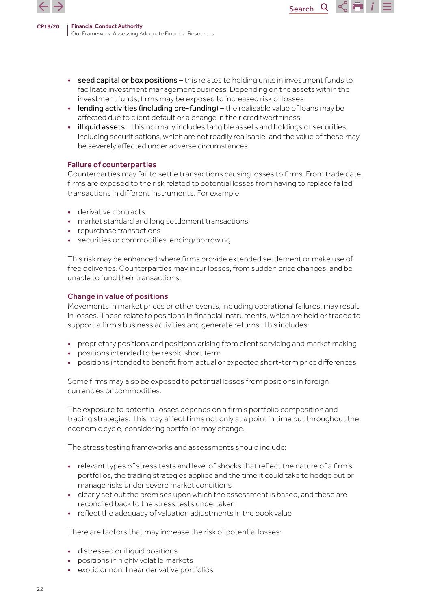

• seed capital or box positions – this relates to holding units in investment funds to facilitate investment management business. Depending on the assets within the investment funds, firms may be exposed to increased risk of losses

Search

Q

- lending activities (including pre-funding) the realisable value of loans may be affected due to client default or a change in their creditworthiness
- illiquid assets this normally includes tangible assets and holdings of securities, including securitisations, which are not readily realisable, and the value of these may be severely affected under adverse circumstances

#### Failure of counterparties

Counterparties may fail to settle transactions causing losses to firms. From trade date, firms are exposed to the risk related to potential losses from having to replace failed transactions in different instruments. For example:

- derivative contracts
- market standard and long settlement transactions
- repurchase transactions
- securities or commodities lending/borrowing

This risk may be enhanced where firms provide extended settlement or make use of free deliveries. Counterparties may incur losses, from sudden price changes, and be unable to fund their transactions.

#### Change in value of positions

Movements in market prices or other events, including operational failures, may result in losses. These relate to positions in financial instruments, which are held or traded to support a firm's business activities and generate returns. This includes:

- proprietary positions and positions arising from client servicing and market making
- positions intended to be resold short term
- positions intended to benefit from actual or expected short-term price differences

Some firms may also be exposed to potential losses from positions in foreign currencies or commodities.

The exposure to potential losses depends on a firm's portfolio composition and trading strategies. This may affect firms not only at a point in time but throughout the economic cycle, considering portfolios may change.

The stress testing frameworks and assessments should include:

- relevant types of stress tests and level of shocks that reflect the nature of a firm's portfolios, the trading strategies applied and the time it could take to hedge out or manage risks under severe market conditions
- clearly set out the premises upon which the assessment is based, and these are reconciled back to the stress tests undertaken
- reflect the adequacy of valuation adjustments in the book value

There are factors that may increase the risk of potential losses:

- distressed or illiquid positions
- positions in highly volatile markets
- exotic or non-linear derivative portfolios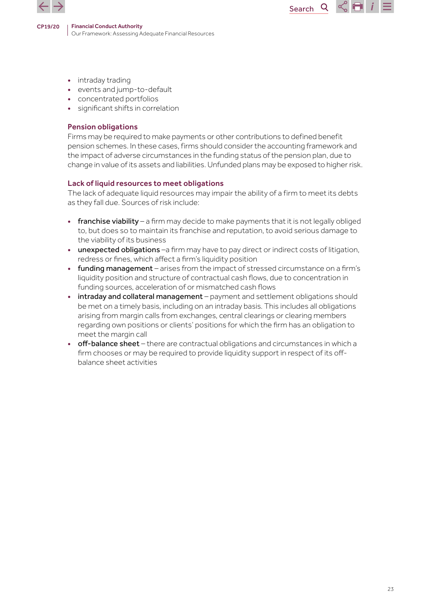

- intraday trading
- events and jump-to-default
- concentrated portfolios
- significant shifts in correlation

#### Pension obligations

Firms may be required to make payments or other contributions to defined benefit pension schemes. In these cases, firms should consider the accounting framework and the impact of adverse circumstances in the funding status of the pension plan, due to change in value of its assets and liabilities. Unfunded plans may be exposed to higher risk.

Search

 $\mathsf{Q}$ 

 $\sim$  14  $\,$ 

#### Lack of liquid resources to meet obligations

The lack of adequate liquid resources may impair the ability of a firm to meet its debts as they fall due. Sources of risk include:

- **franchise viability** a firm may decide to make payments that it is not legally obliged to, but does so to maintain its franchise and reputation, to avoid serious damage to the viability of its business
- unexpected obligations -a firm may have to pay direct or indirect costs of litigation, redress or fines, which affect a firm's liquidity position
- funding management arises from the impact of stressed circumstance on a firm's liquidity position and structure of contractual cash flows, due to concentration in funding sources, acceleration of or mismatched cash flows
- intraday and collateral management payment and settlement obligations should be met on a timely basis, including on an intraday basis. This includes all obligations arising from margin calls from exchanges, central clearings or clearing members regarding own positions or clients' positions for which the firm has an obligation to meet the margin call
- off-balance sheet there are contractual obligations and circumstances in which a firm chooses or may be required to provide liquidity support in respect of its offbalance sheet activities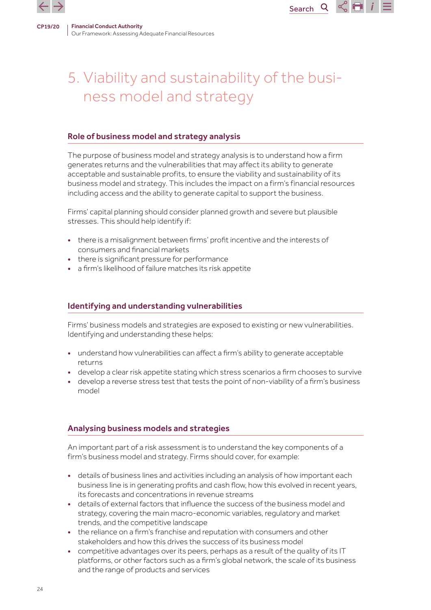

# 5. Viability and sustainability of the business model and strategy

Search<sup>Q</sup>

 $\propto$  Fi i

#### Role of business model and strategy analysis

The purpose of business model and strategy analysis is to understand how a firm generates returns and the vulnerabilities that may affect its ability to generate acceptable and sustainable profits, to ensure the viability and sustainability of its business model and strategy. This includes the impact on a firm's financial resources including access and the ability to generate capital to support the business.

Firms' capital planning should consider planned growth and severe but plausible stresses. This should help identify if:

- there is a misalignment between firms' profit incentive and the interests of consumers and financial markets
- there is significant pressure for performance
- a firm's likelihood of failure matches its risk appetite

### Identifying and understanding vulnerabilities

Firms' business models and strategies are exposed to existing or new vulnerabilities. Identifying and understanding these helps:

- understand how vulnerabilities can affect a firm's ability to generate acceptable returns
- develop a clear risk appetite stating which stress scenarios a firm chooses to survive
- develop a reverse stress test that tests the point of non-viability of a firm's business model

# Analysing business models and strategies

An important part of a risk assessment is to understand the key components of a firm's business model and strategy. Firms should cover, for example:

- details of business lines and activities including an analysis of how important each business line is in generating profits and cash flow, how this evolved in recent years, its forecasts and concentrations in revenue streams
- details of external factors that influence the success of the business model and strategy, covering the main macro-economic variables, regulatory and market trends, and the competitive landscape
- the reliance on a firm's franchise and reputation with consumers and other stakeholders and how this drives the success of its business model
- competitive advantages over its peers, perhaps as a result of the quality of its IT platforms, or other factors such as a firm's global network, the scale of its business and the range of products and services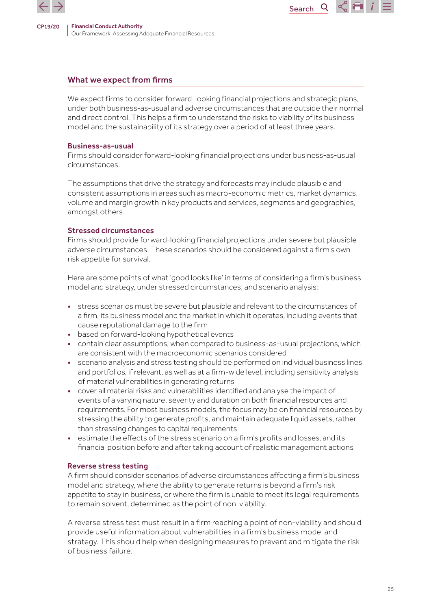

#### What we expect from firms

We expect firms to consider forward-looking financial projections and strategic plans, under both business-as-usual and adverse circumstances that are outside their normal and direct control. This helps a firm to understand the risks to viability of its business model and the sustainability of its strategy over a period of at least three years.

Search

Q

#### Business-as-usual

Firms should consider forward-looking financial projections under business-as-usual circumstances.

The assumptions that drive the strategy and forecasts may include plausible and consistent assumptions in areas such as macro-economic metrics, market dynamics, volume and margin growth in key products and services, segments and geographies, amongst others.

#### Stressed circumstances

Firms should provide forward-looking financial projections under severe but plausible adverse circumstances. These scenarios should be considered against a firm's own risk appetite for survival.

Here are some points of what 'good looks like' in terms of considering a firm's business model and strategy, under stressed circumstances, and scenario analysis:

- stress scenarios must be severe but plausible and relevant to the circumstances of a firm, its business model and the market in which it operates, including events that cause reputational damage to the firm
- based on forward-looking hypothetical events
- contain clear assumptions, when compared to business-as-usual projections, which are consistent with the macroeconomic scenarios considered
- scenario analysis and stress testing should be performed on individual business lines and portfolios, if relevant, as well as at a firm-wide level, including sensitivity analysis of material vulnerabilities in generating returns
- cover all material risks and vulnerabilities identified and analyse the impact of events of a varying nature, severity and duration on both financial resources and requirements. For most business models, the focus may be on financial resources by stressing the ability to generate profits, and maintain adequate liquid assets, rather than stressing changes to capital requirements
- estimate the effects of the stress scenario on a firm's profits and losses, and its financial position before and after taking account of realistic management actions

#### Reverse stress testing

A firm should consider scenarios of adverse circumstances affecting a firm's business model and strategy, where the ability to generate returns is beyond a firm's risk appetite to stay in business, or where the firm is unable to meet its legal requirements to remain solvent, determined as the point of non-viability.

A reverse stress test must result in a firm reaching a point of non-viability and should provide useful information about vulnerabilities in a firm's business model and strategy. This should help when designing measures to prevent and mitigate the risk of business failure.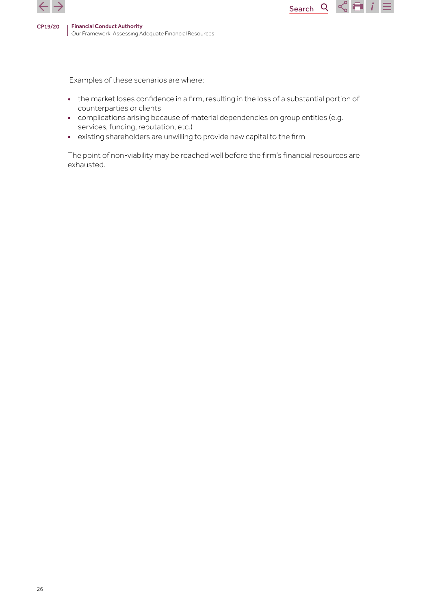

Examples of these scenarios are where:

• the market loses confidence in a firm, resulting in the loss of a substantial portion of counterparties or clients

Search<sub>Q</sub>

 $\sim$   $\blacksquare$  i

- complications arising because of material dependencies on group entities (e.g. services, funding, reputation, etc.)
- existing shareholders are unwilling to provide new capital to the firm

The point of non-viability may be reached well before the firm's financial resources are exhausted.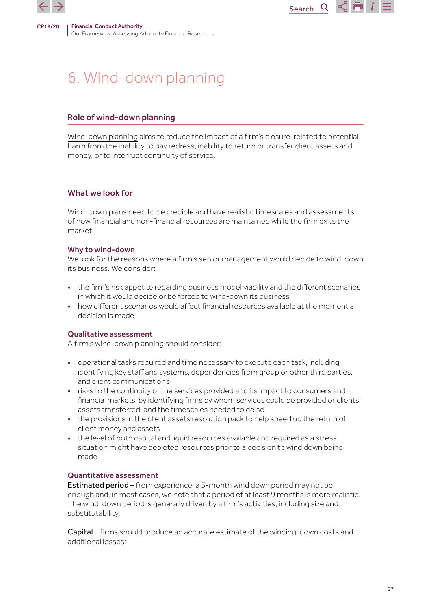

# 6. Wind-down planning

#### Role of wind-down planning

[Wind-down planning](https://www.handbook.fca.org.uk/handbook/WDPG.pdf) aims to reduce the impact of a firm's closure, related to potential harm from the inability to pay redress, inability to return or transfer client assets and money, or to interrupt continuity of service.

**Search** 

 $\mathsf{Q}$ 

 $\propto$  Fi i

#### What we look for

Wind-down plans need to be credible and have realistic timescales and assessments of how financial and non-financial resources are maintained while the firm exits the market.

#### Why to wind-down

We look for the reasons where a firm's senior management would decide to wind-down its business. We consider:

- the firm's risk appetite regarding business model viability and the different scenarios in which it would decide or be forced to wind-down its business
- how different scenarios would affect financial resources available at the moment a decision is made

#### Qualitative assessment

A firm's wind-down planning should consider:

- operational tasks required and time necessary to execute each task, including identifying key staff and systems, dependencies from group or other third parties, and client communications
- risks to the continuity of the services provided and its impact to consumers and financial markets, by identifying firms by whom services could be provided or clients' assets transferred, and the timescales needed to do so
- the provisions in the client assets resolution pack to help speed up the return of client money and assets
- the level of both capital and liquid resources available and required as a stress situation might have depleted resources prior to a decision to wind down being made

#### Quantitative assessment

Estimated period – from experience, a 3-month wind down period may not be enough and, in most cases, we note that a period of at least 9 months is more realistic. The wind-down period is generally driven by a firm's activities, including size and substitutability.

Capital – firms should produce an accurate estimate of the winding-down costs and additional losses: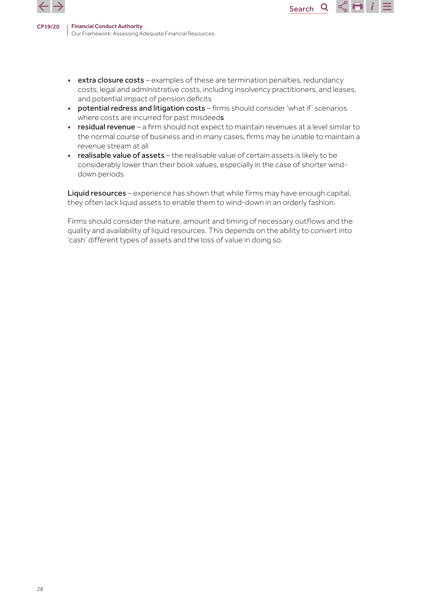

• extra closure costs – examples of these are termination penalties, redundancy costs, legal and administrative costs, including insolvency practitioners, and leases, and potential impact of pension deficits

Search

Q

m

- potential redress and litigation costs firms should consider 'what if' scenarios where costs are incurred for past misdeeds
- residual revenue a firm should not expect to maintain revenues at a level similar to the normal course of business and in many cases, firms may be unable to maintain a revenue stream at all
- realisable value of assets the realisable value of certain assets is likely to be considerably lower than their book values, especially in the case of shorter winddown periods

Liquid resources – experience has shown that while firms may have enough capital, they often lack liquid assets to enable them to wind-down in an orderly fashion.

Firms should consider the nature, amount and timing of necessary outflows and the quality and availability of liquid resources. This depends on the ability to convert into 'cash' different types of assets and the loss of value in doing so.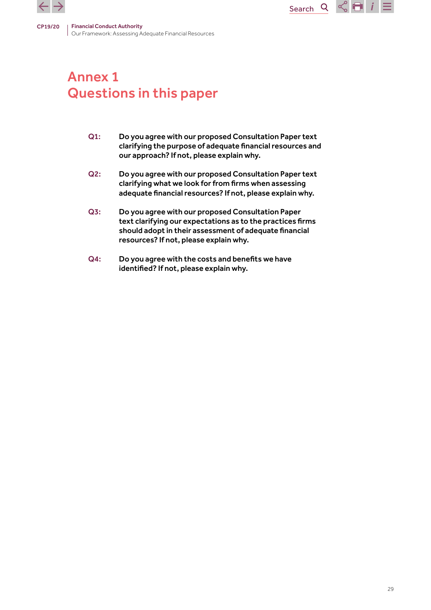

# Annex 1 Questions in this paper

Q1: Do you agree with our proposed Consultation Paper text clarifying the purpose of adequate financial resources and our approach? If not, please explain why.

Search

 $\overline{Q}$ 

 $\leq$   $\blacksquare$  i

- Q2: Do you agree with our proposed Consultation Paper text clarifying what we look for from firms when assessing adequate financial resources? If not, please explain why.
- Q3: Do you agree with our proposed Consultation Paper text clarifying our expectations as to the practices firms should adopt in their assessment of adequate financial resources? If not, please explain why.
- Q4: Do you agree with the costs and benefits we have identified? If not, please explain why.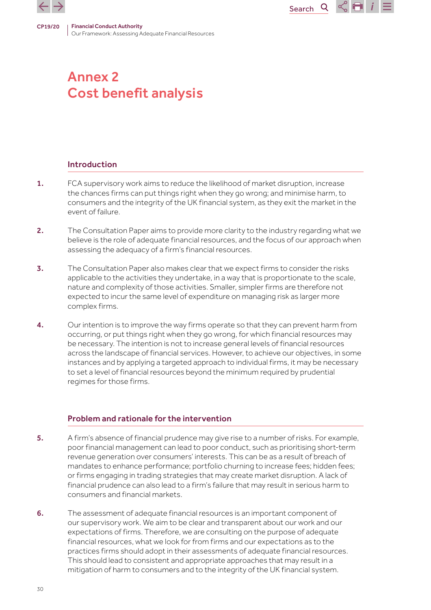

# Annex 2 Cost benefit analysis

# Introduction

1. FCA supervisory work aims to reduce the likelihood of market disruption, increase the chances firms can put things right when they go wrong; and minimise harm, to consumers and the integrity of the UK financial system, as they exit the market in the event of failure.

Search

 $\overline{Q}$ 

 $\propto$   $\blacksquare$ 

- 2. The Consultation Paper aims to provide more clarity to the industry regarding what we believe is the role of adequate financial resources, and the focus of our approach when assessing the adequacy of a firm's financial resources.
- 3. The Consultation Paper also makes clear that we expect firms to consider the risks applicable to the activities they undertake, in a way that is proportionate to the scale, nature and complexity of those activities. Smaller, simpler firms are therefore not expected to incur the same level of expenditure on managing risk as larger more complex firms.
- 4. Our intention is to improve the way firms operate so that they can prevent harm from occurring, or put things right when they go wrong, for which financial resources may be necessary. The intention is not to increase general levels of financial resources across the landscape of financial services. However, to achieve our objectives, in some instances and by applying a targeted approach to individual firms, it may be necessary to set a level of financial resources beyond the minimum required by prudential regimes for those firms.

### Problem and rationale for the intervention

- 5. A firm's absence of financial prudence may give rise to a number of risks. For example, poor financial management can lead to poor conduct, such as prioritising short-term revenue generation over consumers' interests. This can be as a result of breach of mandates to enhance performance; portfolio churning to increase fees; hidden fees; or firms engaging in trading strategies that may create market disruption. A lack of financial prudence can also lead to a firm's failure that may result in serious harm to consumers and financial markets.
- 6. The assessment of adequate financial resources is an important component of our supervisory work. We aim to be clear and transparent about our work and our expectations of firms. Therefore, we are consulting on the purpose of adequate financial resources, what we look for from firms and our expectations as to the practices firms should adopt in their assessments of adequate financial resources. This should lead to consistent and appropriate approaches that may result in a mitigation of harm to consumers and to the integrity of the UK financial system.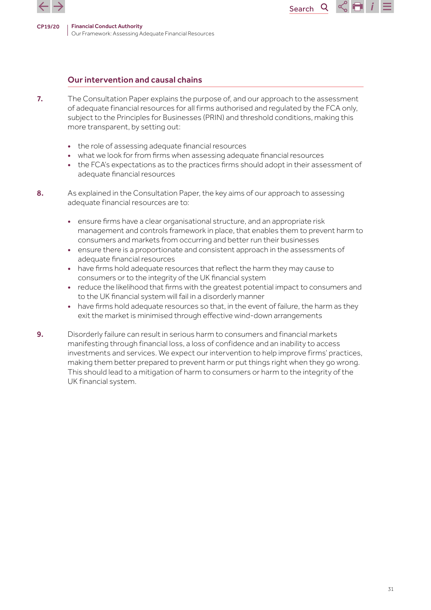

# Our intervention and causal chains

- 7. The Consultation Paper explains the purpose of, and our approach to the assessment of adequate financial resources for all firms authorised and regulated by the FCA only, subject to the Principles for Businesses (PRIN) and threshold conditions, making this more transparent, by setting out:
	- the role of assessing adequate financial resources
	- what we look for from firms when assessing adequate financial resources
	- the FCA's expectations as to the practices firms should adopt in their assessment of adequate financial resources

Search

- 8. As explained in the Consultation Paper, the key aims of our approach to assessing adequate financial resources are to:
	- ensure firms have a clear organisational structure, and an appropriate risk management and controls framework in place, that enables them to prevent harm to consumers and markets from occurring and better run their businesses
	- ensure there is a proportionate and consistent approach in the assessments of adequate financial resources
	- have firms hold adequate resources that reflect the harm they may cause to consumers or to the integrity of the UK financial system
	- reduce the likelihood that firms with the greatest potential impact to consumers and to the UK financial system will fail in a disorderly manner
	- have firms hold adequate resources so that, in the event of failure, the harm as they exit the market is minimised through effective wind-down arrangements
- 9. Disorderly failure can result in serious harm to consumers and financial markets manifesting through financial loss, a loss of confidence and an inability to access investments and services. We expect our intervention to help improve firms' practices, making them better prepared to prevent harm or put things right when they go wrong. This should lead to a mitigation of harm to consumers or harm to the integrity of the UK financial system.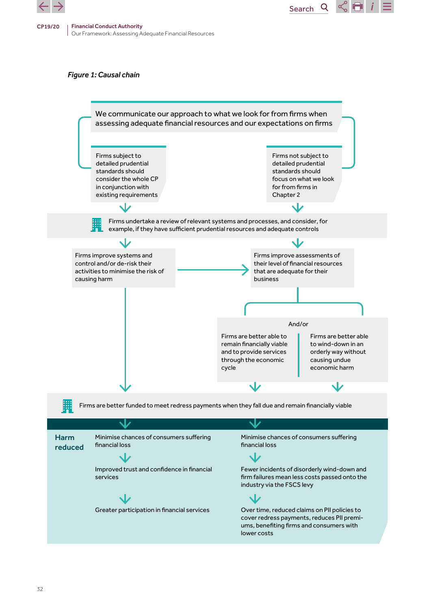

#### *Figure 1: Causal chain*



Search

Q

 $\lesssim$  EI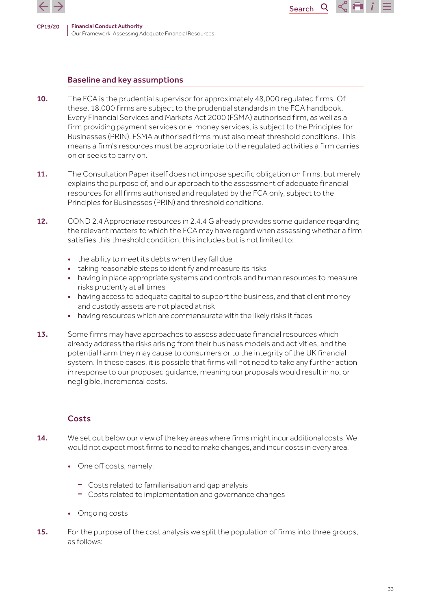

#### Baseline and key assumptions

10. The FCA is the prudential supervisor for approximately 48,000 regulated firms. Of these, 18,000 firms are subject to the prudential standards in the FCA handbook. Every Financial Services and Markets Act 2000 (FSMA) authorised firm, as well as a firm providing payment services or e-money services, is subject to the Principles for Businesses (PRIN). FSMA authorised firms must also meet threshold conditions. This means a firm's resources must be appropriate to the regulated activities a firm carries on or seeks to carry on.

Search

Q

- 11. The Consultation Paper itself does not impose specific obligation on firms, but merely explains the purpose of, and our approach to the assessment of adequate financial resources for all firms authorised and regulated by the FCA only, subject to the Principles for Businesses (PRIN) and threshold conditions.
- 12. COND 2.4 Appropriate resources in 2.4.4 G already provides some quidance regarding the relevant matters to which the FCA may have regard when assessing whether a firm satisfies this threshold condition, this includes but is not limited to:
	- the ability to meet its debts when they fall due
	- taking reasonable steps to identify and measure its risks
	- having in place appropriate systems and controls and human resources to measure risks prudently at all times
	- having access to adequate capital to support the business, and that client money and custody assets are not placed at risk
	- having resources which are commensurate with the likely risks it faces
- 13. Some firms may have approaches to assess adequate financial resources which already address the risks arising from their business models and activities, and the potential harm they may cause to consumers or to the integrity of the UK financial system. In these cases, it is possible that firms will not need to take any further action in response to our proposed guidance, meaning our proposals would result in no, or negligible, incremental costs.

#### **Costs**

- 14. We set out below our view of the key areas where firms might incur additional costs. We would not expect most firms to need to make changes, and incur costs in every area.
	- One off costs, namely:
		- Costs related to familiarisation and gap analysis
		- Costs related to implementation and governance changes
	- Ongoing costs
- 15. For the purpose of the cost analysis we split the population of firms into three groups, as follows: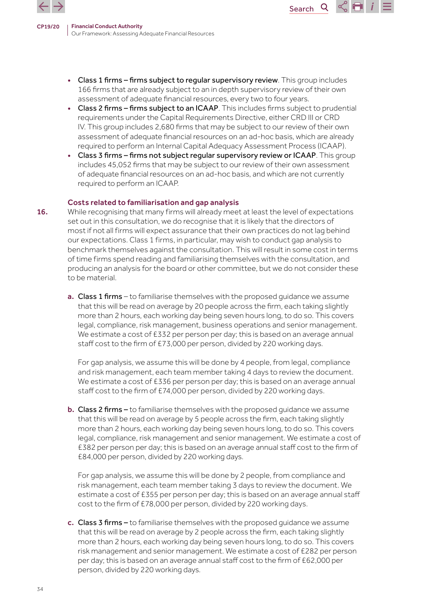

> • Class 1 firms – firms subject to regular supervisory review. This group includes 166 firms that are already subject to an in depth supervisory review of their own assessment of adequate financial resources, every two to four years.

Search

Q

- Class 2 firms firms subject to an ICAAP. This includes firms subject to prudential requirements under the Capital Requirements Directive, either CRD III or CRD IV. This group includes 2,680 firms that may be subject to our review of their own assessment of adequate financial resources on an ad-hoc basis, which are already required to perform an Internal Capital Adequacy Assessment Process (ICAAP).
- Class 3 firms firms not subject regular supervisory review or ICAAP. This group includes 45,052 firms that may be subject to our review of their own assessment of adequate financial resources on an ad-hoc basis, and which are not currently required to perform an ICAAP.

#### Costs related to familiarisation and gap analysis

- 16. While recognising that many firms will already meet at least the level of expectations set out in this consultation, we do recognise that it is likely that the directors of most if not all firms will expect assurance that their own practices do not lag behind our expectations. Class 1 firms, in particular, may wish to conduct gap analysis to benchmark themselves against the consultation. This will result in some cost in terms of time firms spend reading and familiarising themselves with the consultation, and producing an analysis for the board or other committee, but we do not consider these to be material.
	- a. Class 1 firms to familiarise themselves with the proposed guidance we assume that this will be read on average by 20 people across the firm, each taking slightly more than 2 hours, each working day being seven hours long, to do so. This covers legal, compliance, risk management, business operations and senior management. We estimate a cost of £332 per person per day; this is based on an average annual staff cost to the firm of £73,000 per person, divided by 220 working days.

For gap analysis, we assume this will be done by 4 people, from legal, compliance and risk management, each team member taking 4 days to review the document. We estimate a cost of £336 per person per day; this is based on an average annual staff cost to the firm of £74,000 per person, divided by 220 working days.

b. Class 2 firms – to familiarise themselves with the proposed guidance we assume that this will be read on average by 5 people across the firm, each taking slightly more than 2 hours, each working day being seven hours long, to do so. This covers legal, compliance, risk management and senior management. We estimate a cost of £382 per person per day; this is based on an average annual staff cost to the firm of £84,000 per person, divided by 220 working days.

For gap analysis, we assume this will be done by 2 people, from compliance and risk management, each team member taking 3 days to review the document. We estimate a cost of £355 per person per day; this is based on an average annual staff cost to the firm of £78,000 per person, divided by 220 working days.

c. Class 3 firms – to familiarise themselves with the proposed guidance we assume that this will be read on average by 2 people across the firm, each taking slightly more than 2 hours, each working day being seven hours long, to do so. This covers risk management and senior management. We estimate a cost of £282 per person per day; this is based on an average annual staff cost to the firm of £62,000 per person, divided by 220 working days.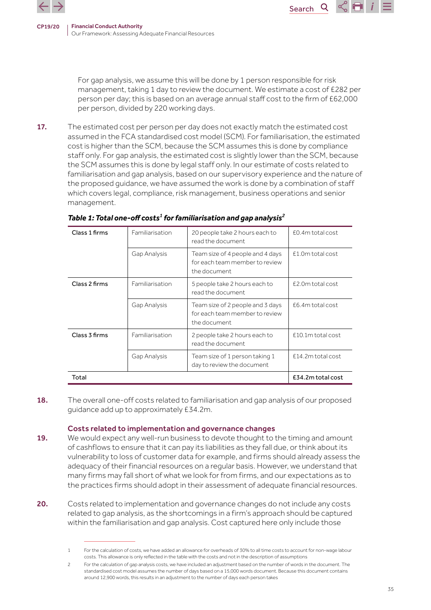

For gap analysis, we assume this will be done by 1 person responsible for risk management, taking 1 day to review the document. We estimate a cost of £282 per person per day; this is based on an average annual staff cost to the firm of £62,000 per person, divided by 220 working days.

Search

 $\mathsf{Q}$ 

 $\propto$   $\blacksquare$ 

17. The estimated cost per person per day does not exactly match the estimated cost assumed in the FCA standardised cost model (SCM). For familiarisation, the estimated cost is higher than the SCM, because the SCM assumes this is done by compliance staff only. For gap analysis, the estimated cost is slightly lower than the SCM, because the SCM assumes this is done by legal staff only. In our estimate of costs related to familiarisation and gap analysis, based on our supervisory experience and the nature of the proposed guidance, we have assumed the work is done by a combination of staff which covers legal, compliance, risk management, business operations and senior management.

| Class 1 firms | Familiarisation | 20 people take 2 hours each to<br>read the document                                 | £0.4m total cost  |
|---------------|-----------------|-------------------------------------------------------------------------------------|-------------------|
|               | Gap Analysis    | Team size of 4 people and 4 days<br>for each team member to review<br>the document  | £1.0m total cost  |
| Class 2 firms | Familiarisation | 5 people take 2 hours each to<br>read the document.                                 | £2.0m total cost  |
|               | Gap Analysis    | Team size of 2 people and 3 days<br>for each team member to review<br>the document. | £6.4m total cost  |
| Class 3 firms | Familiarisation | 2 people take 2 hours each to<br>read the document                                  | £10.1m total cost |
|               | Gap Analysis    | Team size of 1 person taking 1<br>day to review the document                        | £14.2m total cost |
| Total         |                 |                                                                                     | £34.2m total cost |

# *Table 1: Total one-off costs<sup>1</sup> for familiarisation and gap analysis<sup>2</sup>*

18. The overall one-off costs related to familiarisation and gap analysis of our proposed guidance add up to approximately £34.2m.

#### Costs related to implementation and governance changes

- 19. We would expect any well-run business to devote thought to the timing and amount of cashflows to ensure that it can pay its liabilities as they fall due, or think about its vulnerability to loss of customer data for example, and firms should already assess the adequacy of their financial resources on a regular basis. However, we understand that many firms may fall short of what we look for from firms, and our expectations as to the practices firms should adopt in their assessment of adequate financial resources.
- 20. Costs related to implementation and governance changes do not include any costs related to gap analysis, as the shortcomings in a firm's approach should be captured within the familiarisation and gap analysis. Cost captured here only include those

<sup>1</sup> For the calculation of costs, we have added an allowance for overheads of 30% to all time costs to account for non-wage labour costs. This allowance is only reflected in the table with the costs and not in the description of assumptions

For the calculation of gap analysis costs, we have included an adjustment based on the number of words in the document. The standardised cost model assumes the number of days based on a 15,000 words document. Because this document contains around 12,900 words, this results in an adjustment to the number of days each person takes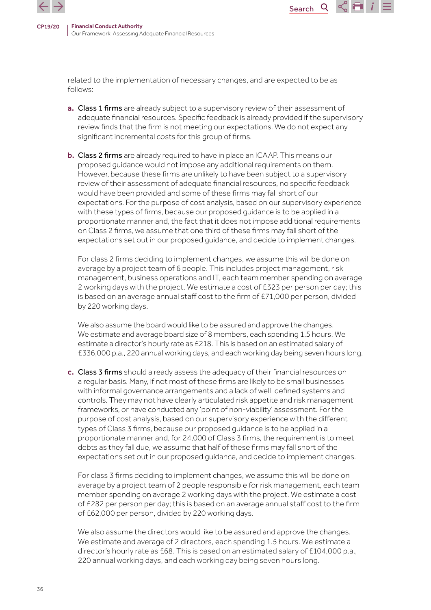

related to the implementation of necessary changes, and are expected to be as follows:

a. Class 1 firms are already subject to a supervisory review of their assessment of adequate financial resources. Specific feedback is already provided if the supervisory review finds that the firm is not meeting our expectations. We do not expect any significant incremental costs for this group of firms.

**Search** 

 $\mathsf{Q}$ 

 $\propto$   $\blacksquare$ 

**b. Class 2 firms** are already required to have in place an ICAAP. This means our proposed guidance would not impose any additional requirements on them. However, because these firms are unlikely to have been subject to a supervisory review of their assessment of adequate financial resources, no specific feedback would have been provided and some of these firms may fall short of our expectations. For the purpose of cost analysis, based on our supervisory experience with these types of firms, because our proposed guidance is to be applied in a proportionate manner and, the fact that it does not impose additional requirements on Class 2 firms, we assume that one third of these firms may fall short of the expectations set out in our proposed guidance, and decide to implement changes.

For class 2 firms deciding to implement changes, we assume this will be done on average by a project team of 6 people. This includes project management, risk management, business operations and IT, each team member spending on average 2 working days with the project. We estimate a cost of £323 per person per day; this is based on an average annual staff cost to the firm of £71,000 per person, divided by 220 working days.

We also assume the board would like to be assured and approve the changes. We estimate and average board size of 8 members, each spending 1.5 hours. We estimate a director's hourly rate as £218. This is based on an estimated salary of £336,000 p.a., 220 annual working days, and each working day being seven hours long.

c. Class 3 firms should already assess the adequacy of their financial resources on a regular basis. Many, if not most of these firms are likely to be small businesses with informal governance arrangements and a lack of well-defined systems and controls. They may not have clearly articulated risk appetite and risk management frameworks, or have conducted any 'point of non-viability' assessment. For the purpose of cost analysis, based on our supervisory experience with the different types of Class 3 firms, because our proposed guidance is to be applied in a proportionate manner and, for 24,000 of Class 3 firms, the requirement is to meet debts as they fall due, we assume that half of these firms may fall short of the expectations set out in our proposed guidance, and decide to implement changes.

For class 3 firms deciding to implement changes, we assume this will be done on average by a project team of 2 people responsible for risk management, each team member spending on average 2 working days with the project. We estimate a cost of £282 per person per day; this is based on an average annual staff cost to the firm of £62,000 per person, divided by 220 working days.

We also assume the directors would like to be assured and approve the changes. We estimate and average of 2 directors, each spending 1.5 hours. We estimate a director's hourly rate as £68. This is based on an estimated salary of £104,000 p.a., 220 annual working days, and each working day being seven hours long.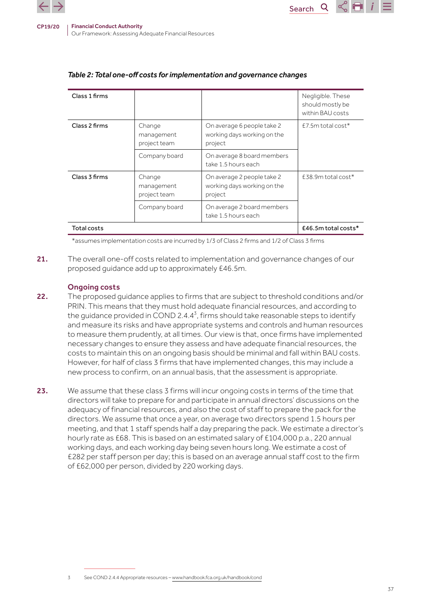

| Class 1 firms |                                      |                                                                      | Negligible. These<br>should mostly be<br>within BAU costs |
|---------------|--------------------------------------|----------------------------------------------------------------------|-----------------------------------------------------------|
| Class 2 firms | Change<br>management<br>project team | On average 6 people take 2<br>working days working on the<br>project | $E7.5m$ total cost*                                       |
|               | Company board                        | On average 8 board members<br>take 1.5 hours each                    |                                                           |
| Class 3 firms | Change<br>management<br>project team | On average 2 people take 2<br>working days working on the<br>project | $E38.9m$ total cost*                                      |
|               | Company board                        | On average 2 board members<br>take 1.5 hours each                    |                                                           |
| Total costs   |                                      |                                                                      | $£46.5m$ total costs*                                     |

Search

#### *Table 2: Total one-off costs for implementation and governance changes*

\*assumes implementation costs are incurred by 1/3 of Class 2 firms and 1/2 of Class 3 firms

21. The overall one-off costs related to implementation and governance changes of our proposed guidance add up to approximately £46.5m.

#### Ongoing costs

- 22. The proposed guidance applies to firms that are subject to threshold conditions and/or PRIN. This means that they must hold adequate financial resources, and according to the guidance provided in COND 2.4.4<sup>3</sup>, firms should take reasonable steps to identify and measure its risks and have appropriate systems and controls and human resources to measure them prudently, at all times. Our view is that, once firms have implemented necessary changes to ensure they assess and have adequate financial resources, the costs to maintain this on an ongoing basis should be minimal and fall within BAU costs. However, for half of class 3 firms that have implemented changes, this may include a new process to confirm, on an annual basis, that the assessment is appropriate.
- 23. We assume that these class 3 firms will incur ongoing costs in terms of the time that directors will take to prepare for and participate in annual directors' discussions on the adequacy of financial resources, and also the cost of staff to prepare the pack for the directors. We assume that once a year, on average two directors spend 1.5 hours per meeting, and that 1 staff spends half a day preparing the pack. We estimate a director's hourly rate as £68. This is based on an estimated salary of £104,000 p.a., 220 annual working days, and each working day being seven hours long. We estimate a cost of £282 per staff person per day; this is based on an average annual staff cost to the firm of £62,000 per person, divided by 220 working days.

3 See COND 2.4.4 Appropriate resources – [www.handbook.fca.org.uk/handbook/cond](http://www.handbook.fca.org.uk/handbook/cond)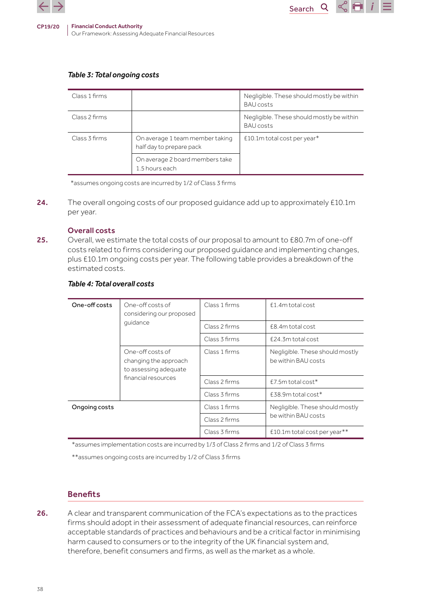

#### *Table 3: Total ongoing costs*

| Class 1 firms |                                                             | Negligible. These should mostly be within<br><b>BAU</b> costs |
|---------------|-------------------------------------------------------------|---------------------------------------------------------------|
| Class 2 firms |                                                             | Negligible. These should mostly be within<br><b>BAU</b> costs |
| Class 3 firms | On average 1 team member taking<br>half day to prepare pack | $£10.1m$ total cost per year*                                 |
|               | On average 2 board members take<br>1.5 hours each           |                                                               |

Search

Q

\*assumes ongoing costs are incurred by 1/2 of Class 3 firms

24. The overall ongoing costs of our proposed guidance add up to approximately £10.1m per year.

#### Overall costs

25. Overall, we estimate the total costs of our proposal to amount to £80.7m of one-off costs related to firms considering our proposed guidance and implementing changes, plus £10.1m ongoing costs per year. The following table provides a breakdown of the estimated costs.

#### *Table 4: Total overall costs*

| One-off costs<br>One-off costs of | considering our proposed                                           | Class 1 firms | £1.4m total cost                                       |  |
|-----------------------------------|--------------------------------------------------------------------|---------------|--------------------------------------------------------|--|
|                                   | quidance                                                           | Class 2 firms | £8.4m total cost                                       |  |
|                                   |                                                                    | Class 3 firms | £24.3m total cost                                      |  |
|                                   | One-off costs of<br>changing the approach<br>to assessing adequate | Class 1 firms | Negligible. These should mostly<br>be within BAU costs |  |
| financial resources               |                                                                    | Class 2 firms | $E7.5m$ total cost*                                    |  |
|                                   |                                                                    | Class 3 firms | $£38.9m$ total cost*                                   |  |
| Ongoing costs                     |                                                                    | Class 1 firms | Negligible. These should mostly                        |  |
|                                   |                                                                    | Class 2 firms | be within BAU costs                                    |  |
|                                   |                                                                    | Class 3 firms | £10.1m total cost per year**                           |  |

\*assumes implementation costs are incurred by 1/3 of Class 2 firms and 1/2 of Class 3 firms

\*\*assumes ongoing costs are incurred by 1/2 of Class 3 firms

#### **Benefits**

26. A clear and transparent communication of the FCA's expectations as to the practices firms should adopt in their assessment of adequate financial resources, can reinforce acceptable standards of practices and behaviours and be a critical factor in minimising harm caused to consumers or to the integrity of the UK financial system and, therefore, benefit consumers and firms, as well as the market as a whole.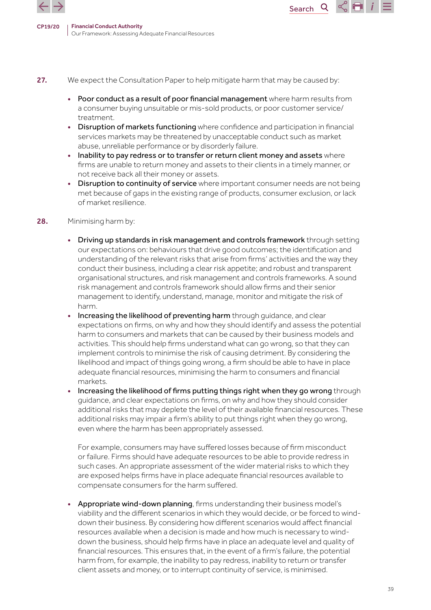



- 27. We expect the Consultation Paper to help mitigate harm that may be caused by:
	- Poor conduct as a result of poor financial management where harm results from a consumer buying unsuitable or mis-sold products, or poor customer service/ treatment.

Search

 $\mathsf{Q}$ 

- Disruption of markets functioning where confidence and participation in financial services markets may be threatened by unacceptable conduct such as market abuse, unreliable performance or by disorderly failure.
- Inability to pay redress or to transfer or return client money and assets where firms are unable to return money and assets to their clients in a timely manner, or not receive back all their money or assets.
- Disruption to continuity of service where important consumer needs are not being met because of gaps in the existing range of products, consumer exclusion, or lack of market resilience.
- 28. Minimising harm by:
	- Driving up standards in risk management and controls framework through setting our expectations on: behaviours that drive good outcomes; the identification and understanding of the relevant risks that arise from firms' activities and the way they conduct their business, including a clear risk appetite; and robust and transparent organisational structures, and risk management and controls frameworks. A sound risk management and controls framework should allow firms and their senior management to identify, understand, manage, monitor and mitigate the risk of harm.
	- Increasing the likelihood of preventing harm through guidance, and clear expectations on firms, on why and how they should identify and assess the potential harm to consumers and markets that can be caused by their business models and activities. This should help firms understand what can go wrong, so that they can implement controls to minimise the risk of causing detriment. By considering the likelihood and impact of things going wrong, a firm should be able to have in place adequate financial resources, minimising the harm to consumers and financial markets.
	- Increasing the likelihood of firms putting things right when they go wrong through guidance, and clear expectations on firms, on why and how they should consider additional risks that may deplete the level of their available financial resources. These additional risks may impair a firm's ability to put things right when they go wrong, even where the harm has been appropriately assessed.

For example, consumers may have suffered losses because of firm misconduct or failure. Firms should have adequate resources to be able to provide redress in such cases. An appropriate assessment of the wider material risks to which they are exposed helps firms have in place adequate financial resources available to compensate consumers for the harm suffered.

• Appropriate wind-down planning, firms understanding their business model's viability and the different scenarios in which they would decide, or be forced to winddown their business. By considering how different scenarios would affect financial resources available when a decision is made and how much is necessary to winddown the business, should help firms have in place an adequate level and quality of financial resources. This ensures that, in the event of a firm's failure, the potential harm from, for example, the inability to pay redress, inability to return or transfer client assets and money, or to interrupt continuity of service, is minimised.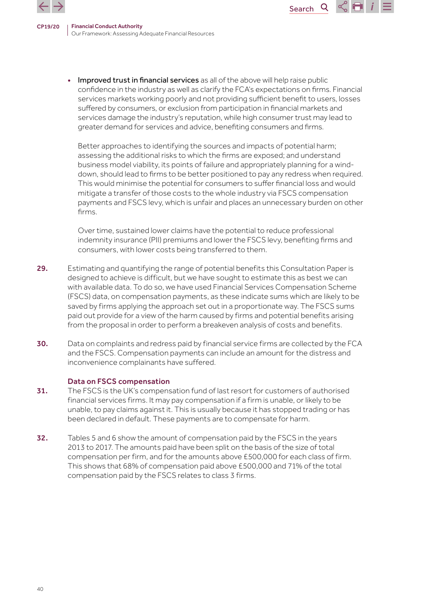

> Improved trust in financial services as all of the above will help raise public confidence in the industry as well as clarify the FCA's expectations on firms. Financial services markets working poorly and not providing sufficient benefit to users, losses suffered by consumers, or exclusion from participation in financial markets and services damage the industry's reputation, while high consumer trust may lead to greater demand for services and advice, benefiting consumers and firms.

**Search** 

 $\mathsf{Q}$ 

 $\propto$  H

Better approaches to identifying the sources and impacts of potential harm; assessing the additional risks to which the firms are exposed; and understand business model viability, its points of failure and appropriately planning for a winddown, should lead to firms to be better positioned to pay any redress when required. This would minimise the potential for consumers to suffer financial loss and would mitigate a transfer of those costs to the whole industry via FSCS compensation payments and FSCS levy, which is unfair and places an unnecessary burden on other firms.

Over time, sustained lower claims have the potential to reduce professional indemnity insurance (PII) premiums and lower the FSCS levy, benefiting firms and consumers, with lower costs being transferred to them.

- 29. Estimating and quantifying the range of potential benefits this Consultation Paper is designed to achieve is difficult, but we have sought to estimate this as best we can with available data. To do so, we have used Financial Services Compensation Scheme (FSCS) data, on compensation payments, as these indicate sums which are likely to be saved by firms applying the approach set out in a proportionate way. The FSCS sums paid out provide for a view of the harm caused by firms and potential benefits arising from the proposal in order to perform a breakeven analysis of costs and benefits.
- 30. Data on complaints and redress paid by financial service firms are collected by the FCA and the FSCS. Compensation payments can include an amount for the distress and inconvenience complainants have suffered.

#### Data on FSCS compensation

- 31. The FSCS is the UK's compensation fund of last resort for customers of authorised financial services firms. It may pay compensation if a firm is unable, or likely to be unable, to pay claims against it. This is usually because it has stopped trading or has been declared in default. These payments are to compensate for harm.
- 32. Tables 5 and 6 show the amount of compensation paid by the FSCS in the years 2013 to 2017. The amounts paid have been split on the basis of the size of total compensation per firm, and for the amounts above £500,000 for each class of firm. This shows that 68% of compensation paid above £500,000 and 71% of the total compensation paid by the FSCS relates to class 3 firms.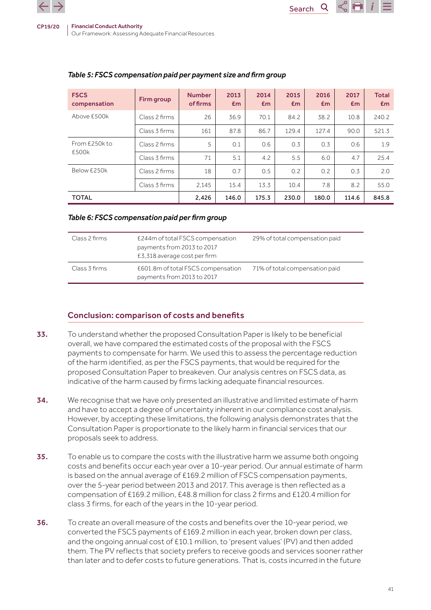| <b>FSCS</b><br>compensation | Firm group    | <b>Number</b><br>of firms | 2013<br>Em | 2014<br>Em | 2015<br>Em | 2016<br>Em | 2017<br>Em | <b>Total</b><br>Em |
|-----------------------------|---------------|---------------------------|------------|------------|------------|------------|------------|--------------------|
| Above £500k                 | Class 2 firms | 26                        | 36.9       | 70.1       | 84.2       | 38.2       | 10.8       | 240.2              |
|                             | Class 3 firms | 161                       | 87.8       | 86.7       | 129.4      | 127.4      | 90.0       | 521.3              |
| From £250k to               | Class 2 firms | 5                         | 0.1        | 0.6        | 0.3        | 0.3        | 0.6        | 1.9                |
| £500k                       | Class 3 firms | 71                        | 5.1        | 4.2        | 5.5        | 6.0        | 4.7        | 25.4               |
| Below £250k                 | Class 2 firms | 18                        | 0.7        | 0.5        | 0.2        | 0.2        | 0.3        | 2.0                |
|                             | Class 3 firms | 2.145                     | 15.4       | 13.3       | 10.4       | 7.8        | 8.2        | 55.0               |
| <b>TOTAL</b>                |               | 2,426                     | 146.0      | 175.3      | 230.0      | 180.0      | 114.6      | 845.8              |

Search

# *Table 5: FSCS compensation paid per payment size and firm group*

#### *Table 6: FSCS compensation paid per firm group*

| Class 2 firms | £244m of total FSCS compensation<br>payments from 2013 to 2017<br>£3,318 average cost per firm | 29% of total compensation paid |
|---------------|------------------------------------------------------------------------------------------------|--------------------------------|
| Class 3 firms | £601.8m of total FSCS compensation<br>payments from 2013 to 2017                               | 71% of total compensation paid |

# Conclusion: comparison of costs and benefits

- 33. To understand whether the proposed Consultation Paper is likely to be beneficial overall, we have compared the estimated costs of the proposal with the FSCS payments to compensate for harm. We used this to assess the percentage reduction of the harm identified, as per the FSCS payments, that would be required for the proposed Consultation Paper to breakeven. Our analysis centres on FSCS data, as indicative of the harm caused by firms lacking adequate financial resources.
- 34. We recognise that we have only presented an illustrative and limited estimate of harm and have to accept a degree of uncertainty inherent in our compliance cost analysis. However, by accepting these limitations, the following analysis demonstrates that the Consultation Paper is proportionate to the likely harm in financial services that our proposals seek to address.
- 35. To enable us to compare the costs with the illustrative harm we assume both ongoing costs and benefits occur each year over a 10-year period. Our annual estimate of harm is based on the annual average of £169.2 million of FSCS compensation payments, over the 5-year period between 2013 and 2017. This average is then reflected as a compensation of £169.2 million, £48.8 million for class 2 firms and £120.4 million for class 3 firms, for each of the years in the 10-year period.
- 36. To create an overall measure of the costs and benefits over the 10-year period, we converted the FSCS payments of £169.2 million in each year, broken down per class, and the ongoing annual cost of £10.1 million, to 'present values' (PV) and then added them. The PV reflects that society prefers to receive goods and services sooner rather than later and to defer costs to future generations. That is, costs incurred in the future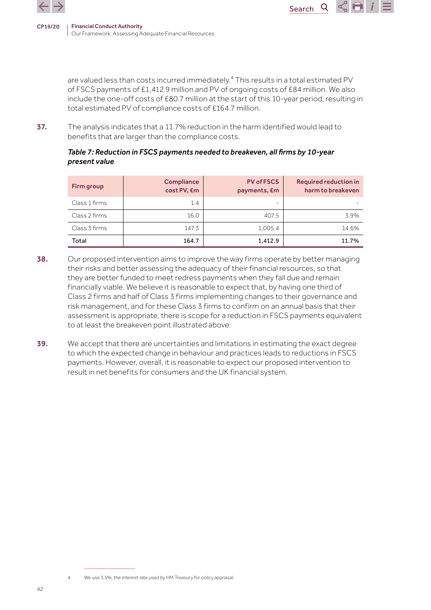

are valued less than costs incurred immediately.<sup>4</sup> This results in a total estimated PV of FSCS payments of £1,412.9 million and PV of ongoing costs of £84 million. We also include the one-off costs of £80.7 million at the start of this 10-year period, resulting in total estimated PV of compliance costs of £164.7 million.

Search

37. The analysis indicates that a 11.7% reduction in the harm identified would lead to benefits that are larger than the compliance costs.

#### *Table 7: Reduction in FSCS payments needed to breakeven, all firms by 10-year present value*

| Firm group    | <b>Compliance</b><br>cost PV, Em | <b>PV of FSCS</b><br>payments, £m | <b>Required reduction in</b><br>harm to breakeven |
|---------------|----------------------------------|-----------------------------------|---------------------------------------------------|
| Class 1 firms | 1.4                              | -                                 |                                                   |
| Class 2 firms | 16.0                             | 407.5                             | 3.9%                                              |
| Class 3 firms | 147.3                            | 1,005.4                           | 14.6%                                             |
| Total         | 164.7                            | 1,412.9                           | 11.7%                                             |

- 38. Our proposed intervention aims to improve the way firms operate by better managing their risks and better assessing the adequacy of their financial resources, so that they are better funded to meet redress payments when they fall due and remain financially viable. We believe it is reasonable to expect that, by having one third of Class 2 firms and half of Class 3 firms implementing changes to their governance and risk management, and for these Class 3 firms to confirm on an annual basis that their assessment is appropriate, there is scope for a reduction in FSCS payments equivalent to at least the breakeven point illustrated above.
- **39.** We accept that there are uncertainties and limitations in estimating the exact degree to which the expected change in behaviour and practices leads to reductions in FSCS payments. However, overall, it is reasonable to expect our proposed intervention to result in net benefits for consumers and the UK financial system.

We use 3.5%, the interest rate used by HM Treasury for policy appraisal.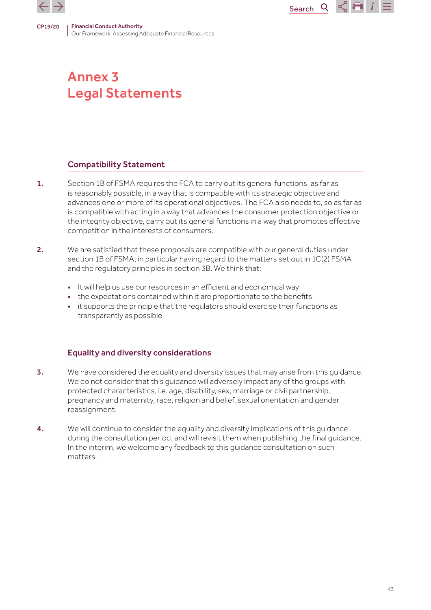



# Compatibility Statement

1. Section 1B of FSMA requires the FCA to carry out its general functions, as far as is reasonably possible, in a way that is compatible with its strategic objective and advances one or more of its operational objectives. The FCA also needs to, so as far as is compatible with acting in a way that advances the consumer protection objective or the integrity objective, carry out its general functions in a way that promotes effective competition in the interests of consumers.

Search

Q

 $\propto$   $\blacksquare$ 

- 2. We are satisfied that these proposals are compatible with our general duties under section 1B of FSMA, in particular having regard to the matters set out in 1C(2) FSMA and the regulatory principles in section 3B. We think that:
	- It will help us use our resources in an efficient and economical way
	- the expectations contained within it are proportionate to the benefits
	- it supports the principle that the regulators should exercise their functions as transparently as possible

# Equality and diversity considerations

- **3.** We have considered the equality and diversity issues that may arise from this guidance. We do not consider that this guidance will adversely impact any of the groups with protected characteristics, i.e. age, disability, sex, marriage or civil partnership, pregnancy and maternity, race, religion and belief, sexual orientation and gender reassignment.
- **4.** We will continue to consider the equality and diversity implications of this quidance during the consultation period, and will revisit them when publishing the final guidance. In the interim, we welcome any feedback to this guidance consultation on such matters.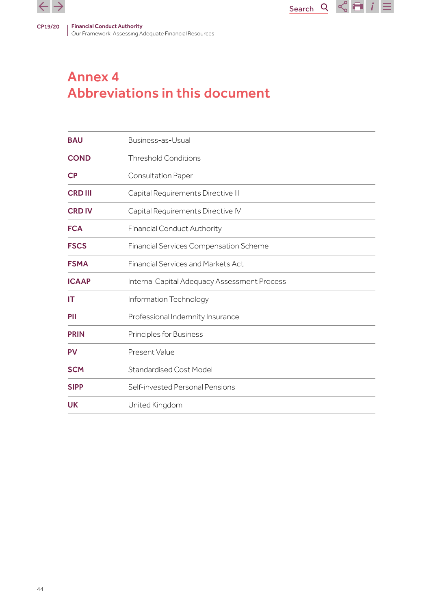

# Annex 4 Abbreviations in this document

| <b>BAU</b>     | Business-as-Usual                             |
|----------------|-----------------------------------------------|
| <b>COND</b>    | <b>Threshold Conditions</b>                   |
| <b>CP</b>      | <b>Consultation Paper</b>                     |
| <b>CRD III</b> | Capital Requirements Directive III            |
| <b>CRD IV</b>  | Capital Requirements Directive IV             |
| <b>FCA</b>     | <b>Financial Conduct Authority</b>            |
| <b>FSCS</b>    | <b>Financial Services Compensation Scheme</b> |
| <b>FSMA</b>    | <b>Financial Services and Markets Act</b>     |
| <b>ICAAP</b>   | Internal Capital Adequacy Assessment Process  |
| IT             | Information Technology                        |
| PII            | Professional Indemnity Insurance              |
| <b>PRIN</b>    | Principles for Business                       |
| <b>PV</b>      | Present Value                                 |
| <b>SCM</b>     | <b>Standardised Cost Model</b>                |
| <b>SIPP</b>    | Self-invested Personal Pensions               |
| <b>UK</b>      | United Kingdom                                |

Search  $Q \propto | \cdot \cdot |$   $i \ge$